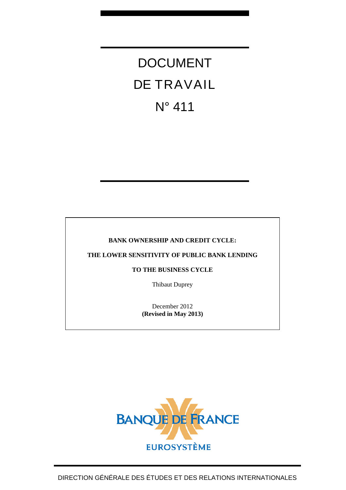# DOCUMENT DE TRAVAIL N° 411

# **BANK OWNERSHIP AND CREDIT CYCLE:**

**THE LOWER SENSITIVITY OF PUBLIC BANK LENDING** 

**TO THE BUSINESS CYCLE** 

Thibaut Duprey

December 2012 **(Revised in May 2013)** 

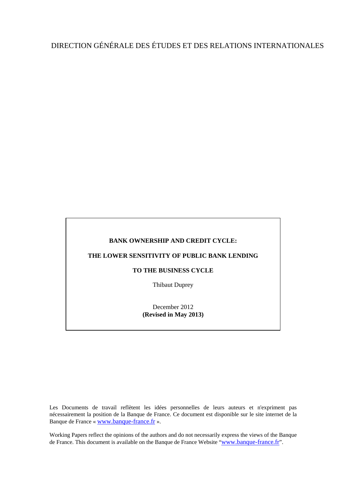# DIRECTION GÉNÉRALE DES ÉTUDES ET DES RELATIONS INTERNATIONALES

### **BANK OWNERSHIP AND CREDIT CYCLE:**

### **THE LOWER SENSITIVITY OF PUBLIC BANK LENDING**

#### **TO THE BUSINESS CYCLE**

Thibaut Duprey

December 2012 **(Revised in May 2013)** 

Les Documents de travail reflètent les idées personnelles de leurs auteurs et n'expriment pas nécessairement la position de la Banque de France. Ce document est disponible sur le site internet de la Banque de France « [www.banque-france.fr](http://www.banque-france.fr/) ».

Working Papers reflect the opinions of the authors and do not necessarily express the views of the Banque de France. This document is available on the Banque de France Website "[www.banque-france.fr](http://www.banque-france.fr/)".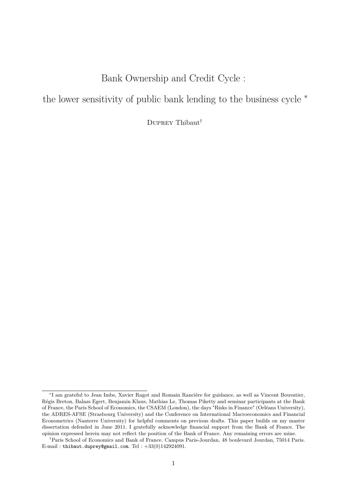# Bank Ownership and Credit Cycle :

the lower sensitivity of public bank lending to the business cycle <sup>∗</sup>

Duprey Thibaut†

<sup>∗</sup> I am grateful to Jean Imbs, Xavier Ragot and Romain Rancière for guidance, as well as Vincent Bouvatier, Régis Breton, Balazs Egert, Benjamin Klaus, Mathias Le, Thomas Piketty and seminar participants at the Bank of France, the Paris School of Economics, the CSAEM (London), the days "Risks in Finance" (Orléans University), the ADRES-AFSE (Strasbourg University) and the Conference on International Macroeconomics and Financial Econometrics (Nanterre University) for helpful comments on previous drafts. This paper builds on my master dissertation defended in June 2011. I gratefully acknowledge financial support from the Bank of France. The opinion expressed herein may not reflect the position of the Bank of France. Any remaining errors are mine.

<sup>†</sup>Paris School of Economics and Bank of France. Campus Paris-Jourdan, 48 boulevard Jourdan, 75014 Paris. E-mail: thibaut.duprey@gmail.com. Tel:  $+33(0)142924091$ .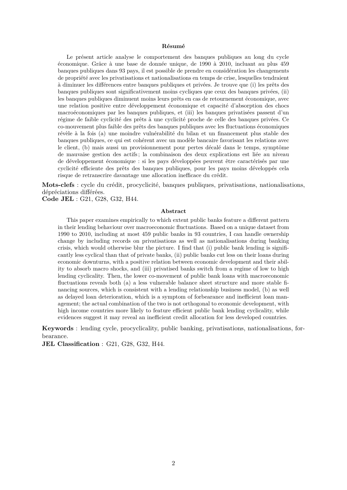#### **Résumé**

Le présent article analyse le comportement des banques publiques au long du cycle économique. Grâce à une base de donnée unique, de 1990 à 2010, incluant au plus 459 banques publiques dans 93 pays, il est possible de prendre en considération les changements de propriété avec les privatisations et nationalisations en temps de crise, lesquelles tendraient à diminuer les différences entre banques publiques et privées. Je trouve que (i) les prêts des banques publiques sont significativement moins cycliques que ceux des banques privées, (ii) les banques publiques diminuent moins leurs prêts en cas de retournement économique, avec une relation positive entre développement économique et capacité d'absorption des chocs macroéconomiques par les banques publiques, et (iii) les banques privatisées passent d'un régime de faible cyclicité des prêts à une cyclicité proche de celle des banques privées. Ce co-mouvement plus faible des prêts des banques publiques avec les fluctuations économiques révèle à la fois (a) une moindre vulnérabilité du bilan et un financement plus stable des banques publiques, ce qui est cohérent avec un modèle bancaire favorisant les relations avec le client, (b) mais aussi un provisionnement pour pertes décalé dans le temps, symptôme de mauvaise gestion des actifs ; la combinaison des deux explications est liée au niveau de développement économique : si les pays développées peuvent être caractérisés par une cyclicité efficiente des prêts des banques publiques, pour les pays moins développés cela risque de retranscrire davantage une allocation inefficace du crédit.

**Mots-clefs** : cycle du crédit, procyclicité, banques publiques, privatisations, nationalisations, dépréciations différées.

**Code JEL** : G21, G28, G32, H44.

#### **Abstract**

This paper examines empirically to which extent public banks feature a different pattern in their lending behaviour over macroeconomic fluctuations. Based on a unique dataset from 1990 to 2010, including at most 459 public banks in 93 countries, I can handle ownership change by including records on privatisations as well as nationalisations during banking crisis, which would otherwise blur the picture. I find that (i) public bank lending is significantly less cyclical than that of private banks, (ii) public banks cut less on their loans during economic downturns, with a positive relation between economic development and their ability to absorb macro shocks, and (iii) privatised banks switch from a regime of low to high lending cyclicality. Then, the lower co-movement of public bank loans with macroeconomic fluctuations reveals both (a) a less vulnerable balance sheet structure and more stable financing sources, which is consistent with a lending relationship business model, (b) as well as delayed loan deterioration, which is a symptom of forbearance and inefficient loan management; the actual combination of the two is not orthogonal to economic development, with high income countries more likely to feature efficient public bank lending cyclicality, while evidences suggest it may reveal an inefficient credit allocation for less developed countries.

**Keywords** : lending cycle, procyclicality, public banking, privatisations, nationalisations, forbearance.

**JEL Classification** : G21, G28, G32, H44.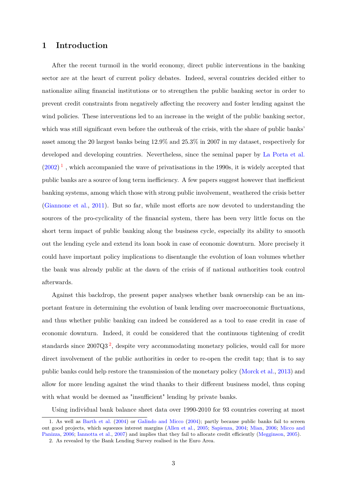## <span id="page-4-2"></span>**1 Introduction**

After the recent turmoil in the world economy, direct public interventions in the banking sector are at the heart of current policy debates. Indeed, several countries decided either to nationalize ailing financial institutions or to strengthen the public banking sector in order to prevent credit constraints from negatively affecting the recovery and foster lending against the wind policies. These interventions led to an increase in the weight of the public banking sector, which was still significant even before the outbreak of the crisis, with the share of public banks' asset among the 20 largest banks being 12.9% and 25.3% in 2007 in my dataset, respectively for developed and developing countries. Nevertheless, since the seminal paper by [La Porta et al.](#page-30-0)  $(2002)^1$  $(2002)^1$  $(2002)^1$ , which accompanied the wave of privatisations in the 1990s, it is widely accepted that public banks are a source of long term inefficiency. A few papers suggest however that inefficient banking systems, among which those with strong public involvement, weathered the crisis better [\(Giannone et al.,](#page-30-1) [2011\)](#page-30-1). But so far, while most efforts are now devoted to understanding the sources of the pro-cyclicality of the financial system, there has been very little focus on the short term impact of public banking along the business cycle, especially its ability to smooth out the lending cycle and extend its loan book in case of economic downturn. More precisely it could have important policy implications to disentangle the evolution of loan volumes whether the bank was already public at the dawn of the crisis of if national authorities took control afterwards.

Against this backdrop, the present paper analyses whether bank ownership can be an important feature in determining the evolution of bank lending over macroeconomic fluctuations, and thus whether public banking can indeed be considered as a tool to ease credit in case of economic downturn. Indeed, it could be considered that the continuous tightening of credit standards since [2](#page-4-1)007Q3<sup>2</sup>, despite very accommodating monetary policies, would call for more direct involvement of the public authorities in order to re-open the credit tap; that is to say public banks could help restore the transmission of the monetary policy [\(Morck et al.,](#page-31-0) [2013\)](#page-31-0) and allow for more lending against the wind thanks to their different business model, thus coping with what would be deemed as "insufficient" lending by private banks.

<span id="page-4-0"></span>Using individual bank balance sheet data over 1990-2010 for 93 countries covering at most

<sup>1.</sup> As well as [Barth et al.](#page-29-0) [\(2004\)](#page-29-0) or [Galindo and Micco](#page-29-1) [\(2004\)](#page-29-1); partly because public banks fail to screen out good projects, which squeezes interest margins [\(Allen et al.,](#page-29-2) [2005;](#page-29-2) [Sapienza,](#page-31-1) [2004;](#page-31-1) [Mian,](#page-30-2) [2006;](#page-30-2) [Micco and](#page-30-3) [Panizza,](#page-30-3) [2006;](#page-30-3) [Iannotta et al.,](#page-30-4) [2007\)](#page-30-4) and implies that they fail to allocate credit efficiently [\(Megginson,](#page-30-5) [2005\)](#page-30-5).

<span id="page-4-1"></span><sup>2.</sup> As revealed by the Bank Lending Survey realised in the Euro Area.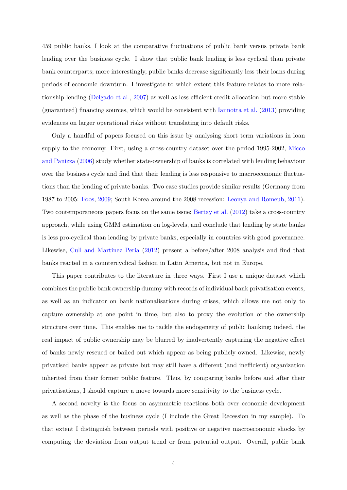459 public banks, I look at the comparative fluctuations of public bank versus private bank lending over the business cycle. I show that public bank lending is less cyclical than private bank counterparts; more interestingly, public banks decrease significantly less their loans during periods of economic downturn. I investigate to which extent this feature relates to more relationship lending [\(Delgado et al.,](#page-29-3) [2007\)](#page-29-3) as well as less efficient credit allocation but more stable (guaranteed) financing sources, which would be consistent with [Iannotta et al.](#page-30-6) [\(2013\)](#page-30-6) providing evidences on larger operational risks without translating into default risks.

Only a handful of papers focused on this issue by analysing short term variations in loan supply to the economy. First, using a cross-country dataset over the period 1995-2002, [Micco](#page-30-3) [and Panizza](#page-30-3) [\(2006\)](#page-30-3) study whether state-ownership of banks is correlated with lending behaviour over the business cycle and find that their lending is less responsive to macroeconomic fluctuations than the lending of private banks. Two case studies provide similar results (Germany from 1987 to 2005: [Foos,](#page-29-4) [2009;](#page-29-4) South Korea around the 2008 recession: [Leonya and Romeub,](#page-30-7) [2011\)](#page-30-7). Two contemporaneous papers focus on the same issue; [Bertay et al.](#page-29-5) [\(2012\)](#page-29-5) take a cross-country approach, while using GMM estimation on log-levels, and conclude that lending by state banks is less pro-cyclical than lending by private banks, especially in countries with good governance. Likewise, [Cull and Martinez Peria](#page-29-6) [\(2012\)](#page-29-6) present a before/after 2008 analysis and find that banks reacted in a countercyclical fashion in Latin America, but not in Europe.

This paper contributes to the literature in three ways. First I use a unique dataset which combines the public bank ownership dummy with records of individual bank privatisation events, as well as an indicator on bank nationalisations during crises, which allows me not only to capture ownership at one point in time, but also to proxy the evolution of the ownership structure over time. This enables me to tackle the endogeneity of public banking; indeed, the real impact of public ownership may be blurred by inadvertently capturing the negative effect of banks newly rescued or bailed out which appear as being publicly owned. Likewise, newly privatised banks appear as private but may still have a different (and inefficient) organization inherited from their former public feature. Thus, by comparing banks before and after their privatisations, I should capture a move towards more sensitivity to the business cycle.

A second novelty is the focus on asymmetric reactions both over economic development as well as the phase of the business cycle (I include the Great Recession in my sample). To that extent I distinguish between periods with positive or negative macroeconomic shocks by computing the deviation from output trend or from potential output. Overall, public bank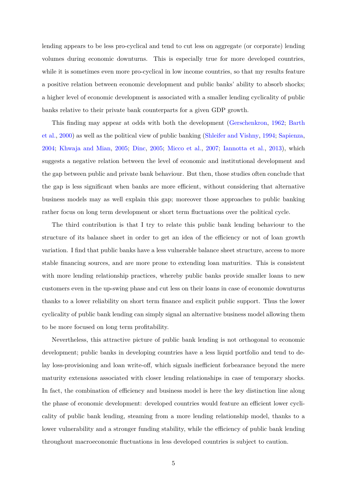lending appears to be less pro-cyclical and tend to cut less on aggregate (or corporate) lending volumes during economic downturns. This is especially true for more developed countries, while it is sometimes even more pro-cyclical in low income countries, so that my results feature a positive relation between economic development and public banks' ability to absorb shocks; a higher level of economic development is associated with a smaller lending cyclicality of public banks relative to their private bank counterparts for a given GDP growth.

This finding may appear at odds with both the development [\(Gerschenkron,](#page-30-8) [1962;](#page-30-8) [Barth](#page-29-7) [et al.,](#page-29-7) [2000\)](#page-29-7) as well as the political view of public banking [\(Shleifer and Vishny,](#page-31-2) [1994;](#page-31-2) [Sapienza,](#page-31-1) [2004;](#page-31-1) [Khwaja and Mian,](#page-30-9) [2005;](#page-30-9) [Dinc,](#page-29-8) [2005;](#page-29-8) [Micco et al.,](#page-31-3) [2007;](#page-31-3) [Iannotta et al.,](#page-30-6) [2013\)](#page-30-6), which suggests a negative relation between the level of economic and institutional development and the gap between public and private bank behaviour. But then, those studies often conclude that the gap is less significant when banks are more efficient, without considering that alternative business models may as well explain this gap; moreover those approaches to public banking rather focus on long term development or short term fluctuations over the political cycle.

The third contribution is that I try to relate this public bank lending behaviour to the structure of its balance sheet in order to get an idea of the efficiency or not of loan growth variation. I find that public banks have a less vulnerable balance sheet structure, access to more stable financing sources, and are more prone to extending loan maturities. This is consistent with more lending relationship practices, whereby public banks provide smaller loans to new customers even in the up-swing phase and cut less on their loans in case of economic downturns thanks to a lower reliability on short term finance and explicit public support. Thus the lower cyclicality of public bank lending can simply signal an alternative business model allowing them to be more focused on long term profitability.

Nevertheless, this attractive picture of public bank lending is not orthogonal to economic development; public banks in developing countries have a less liquid portfolio and tend to delay loss-provisioning and loan write-off, which signals inefficient forbearance beyond the mere maturity extensions associated with closer lending relationships in case of temporary shocks. In fact, the combination of efficiency and business model is here the key distinction line along the phase of economic development: developed countries would feature an efficient lower cyclicality of public bank lending, steaming from a more lending relationship model, thanks to a lower vulnerability and a stronger funding stability, while the efficiency of public bank lending throughout macroeconomic fluctuations in less developed countries is subject to caution.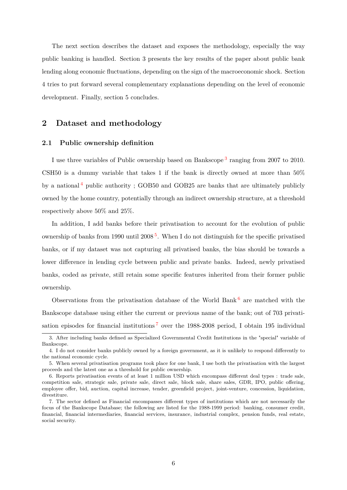The next section describes the dataset and exposes the methodology, especially the way public banking is handled. Section 3 presents the key results of the paper about public bank lending along economic fluctuations, depending on the sign of the macroeconomic shock. Section 4 tries to put forward several complementary explanations depending on the level of economic development. Finally, section 5 concludes.

### **2 Dataset and methodology**

#### <span id="page-7-5"></span>**2.1 Public ownership definition**

I use three variables of Public ownership based on Bankscope<sup>[3](#page-7-0)</sup> ranging from 2007 to 2010. CSH50 is a dummy variable that takes 1 if the bank is directly owned at more than  $50\%$ by a national [4](#page-7-1) public authority ; GOB50 and GOB25 are banks that are ultimately publicly owned by the home country, potentially through an indirect ownership structure, at a threshold respectively above 50% and 25%.

In addition, I add banks before their privatisation to account for the evolution of public ownership of banks from 1990 until 2008<sup>[5](#page-7-2)</sup>. When I do not distinguish for the specific privatised banks, or if my dataset was not capturing all privatised banks, the bias should be towards a lower difference in lending cycle between public and private banks. Indeed, newly privatised banks, coded as private, still retain some specific features inherited from their former public ownership.

Observations from the privatisation database of the World Bank  $6$  are matched with the Bankscope database using either the current or previous name of the bank; out of 703 privati-sation episodes for financial institutions<sup>[7](#page-7-4)</sup> over the 1988-2008 period, I obtain 195 individual

<span id="page-7-0"></span><sup>3.</sup> After including banks defined as Specialized Governmental Credit Institutions in the "special" variable of Bankscope.

<span id="page-7-1"></span><sup>4.</sup> I do not consider banks publicly owned by a foreign government, as it is unlikely to respond differently to the national economic cycle.

<span id="page-7-2"></span><sup>5.</sup> When several privatisation programs took place for one bank, I use both the privatisation with the largest proceeds and the latest one as a threshold for public ownership.

<span id="page-7-3"></span><sup>6.</sup> Reports privatisation events of at least 1 million USD which encompass different deal types : trade sale, competition sale, strategic sale, private sale, direct sale, block sale, share sales, GDR, IPO, public offering, employee offer, bid, auction, capital increase, tender, greenfield project, joint-venture, concession, liquidation, divestiture.

<span id="page-7-4"></span><sup>7.</sup> The sector defined as Financial encompasses different types of institutions which are not necessarily the focus of the Bankscope Database; the following are listed for the 1988-1999 period: banking, consumer credit, financial, financial intermediaries, financial services, insurance, industrial complex, pension funds, real estate, social security.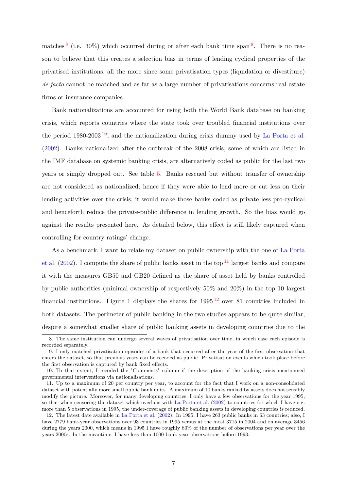matches  $\frac{8}{3}$  $\frac{8}{3}$  $\frac{8}{3}$  (i.e. 30%) which occurred during or after each bank time span  $\frac{9}{3}$  $\frac{9}{3}$  $\frac{9}{3}$ . There is no reason to believe that this creates a selection bias in terms of lending cyclical properties of the privatised institutions, all the more since some privatisation types (liquidation or divestiture) *de facto* cannot be matched and as far as a large number of privatisations concerns real estate firms or insurance companies.

Bank nationalizations are accounted for using both the World Bank database on banking crisis, which reports countries where the state took over troubled financial institutions over the period 1980-2003<sup>[10](#page-8-2)</sup>, and the nationalization during crisis dummy used by [La Porta et al.](#page-30-0) [\(2002\)](#page-30-0). Banks nationalized after the outbreak of the 2008 crisis, some of which are listed in the IMF database on systemic banking crisis, are alternatively coded as public for the last two years or simply dropped out. See table [5.](#page-38-0) Banks rescued but without transfer of ownership are not considered as nationalized; hence if they were able to lend more or cut less on their lending activities over the crisis, it would make those banks coded as private less pro-cyclical and henceforth reduce the private-public difference in lending growth. So the bias would go against the results presented here. As detailed below, this effect is still likely captured when controlling for country ratings' change.

As a benchmark, I want to relate my dataset on public ownership with the one of [La Porta](#page-30-0) [et al.](#page-30-0)  $(2002)$ . I compute the share of public banks asset in the top  $^{11}$  $^{11}$  $^{11}$  largest banks and compare it with the measures GB50 and GB20 defined as the share of asset held by banks controlled by public authorities (minimal ownership of respectively 50% and 20%) in the top 10 largest financial institutions. Figure [1](#page-9-0) displays the shares for  $1995^{12}$  $1995^{12}$  $1995^{12}$  over 81 countries included in both datasets. The perimeter of public banking in the two studies appears to be quite similar, despite a somewhat smaller share of public banking assets in developing countries due to the

<span id="page-8-0"></span><sup>8.</sup> The same institution can undergo several waves of privatisation over time, in which case each episode is recorded separately.

<span id="page-8-1"></span><sup>9.</sup> I only matched privatisation episodes of a bank that occurred after the year of the first observation that enters the dataset, so that previous years can be recoded as public. Privatisation events which took place before the first observation is captured by bank fixed effects.

<span id="page-8-2"></span><sup>10.</sup> To that extent, I recoded the "Comments" column if the description of the banking crisis mentionned governmental interventions via nationalisations.

<span id="page-8-3"></span><sup>11.</sup> Up to a maximum of 20 per country per year, to account for the fact that I work on a non-consolidated dataset with potentially more small public bank units. A maximum of 10 banks ranked by assets does not sensibly modify the picture. Moreover, for many developing countries, I only have a few observations for the year 1995, so that when censoring the dataset which overlaps with [La Porta et al.](#page-30-0) [\(2002\)](#page-30-0) to countries for which I have e.g. more than 5 observations in 1995, the under-coverage of public banking assets in developing countries is reduced.

<span id="page-8-4"></span><sup>12.</sup> The latest date available in [La Porta et al.](#page-30-0) [\(2002\)](#page-30-0). In 1995, I have 263 public banks in 63 countries; also, I have 2779 bank-year observations over 93 countries in 1995 versus at the most 3715 in 2004 and on average 3456 during the years 2000, which means in 1995 I have roughly 80% of the number of observations per year over the years 2000s. In the meantime, I have less than 1000 bank-year observations before 1993.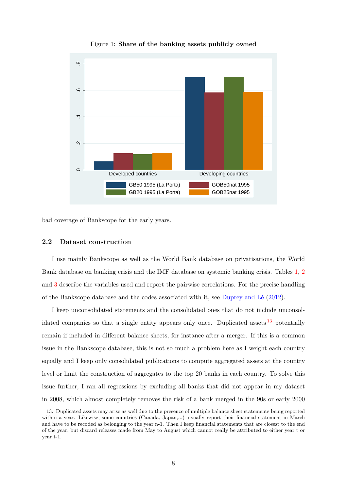

<span id="page-9-0"></span>Figure 1: **Share of the banking assets publicly owned**

bad coverage of Bankscope for the early years.

#### <span id="page-9-2"></span>**2.2 Dataset construction**

I use mainly Bankscope as well as the World Bank database on privatisations, the World Bank database on banking crisis and the IMF database on systemic banking crisis. Tables [1,](#page-32-0) [2](#page-33-0) and [3](#page-34-0) describe the variables used and report the pairwise correlations. For the precise handling of the Bankscope database and the codes associated with it, see [Duprey and Lé](#page-29-9) [\(2012\)](#page-29-9).

I keep unconsolidated statements and the consolidated ones that do not include unconsol-idated companies so that a single entity appears only once. Duplicated assets <sup>[13](#page-9-1)</sup> potentially remain if included in different balance sheets, for instance after a merger. If this is a common issue in the Bankscope database, this is not so much a problem here as I weight each country equally and I keep only consolidated publications to compute aggregated assets at the country level or limit the construction of aggregates to the top 20 banks in each country. To solve this issue further, I ran all regressions by excluding all banks that did not appear in my dataset in 2008, which almost completely removes the risk of a bank merged in the 90s or early 2000

<span id="page-9-1"></span><sup>13.</sup> Duplicated assets may arise as well due to the presence of multiple balance sheet statements being reported within a year. Likewise, some countries (Canada, Japan,...) usually report their financial statement in March and have to be recoded as belonging to the year n-1. Then I keep financial statements that are closest to the end of the year, but discard releases made from May to August which cannot really be attributed to either year t or year t-1.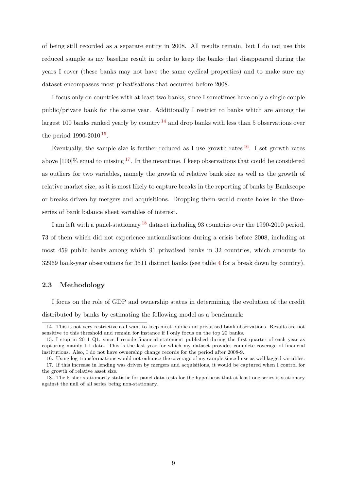of being still recorded as a separate entity in 2008. All results remain, but I do not use this reduced sample as my baseline result in order to keep the banks that disappeared during the years I cover (these banks may not have the same cyclical properties) and to make sure my dataset encompasses most privatisations that occurred before 2008.

I focus only on countries with at least two banks, since I sometimes have only a single couple public/private bank for the same year. Additionally I restrict to banks which are among the largest 100 banks ranked yearly by country  $^{14}$  $^{14}$  $^{14}$  and drop banks with less than 5 observations over the period 1990-2010<sup>[15](#page-10-1)</sup>.

Eventually, the sample size is further reduced as I use growth rates  $^{16}$  $^{16}$  $^{16}$ . I set growth rates above  $|100|\%$  equal to missing  $^{17}$  $^{17}$  $^{17}$ . In the meantime, I keep observations that could be considered as outliers for two variables, namely the growth of relative bank size as well as the growth of relative market size, as it is most likely to capture breaks in the reporting of banks by Bankscope or breaks driven by mergers and acquisitions. Dropping them would create holes in the timeseries of bank balance sheet variables of interest.

I am left with a panel-stationary [18](#page-10-4) dataset including 93 countries over the 1990-2010 period, 73 of them which did not experience nationalisations during a crisis before 2008, including at most 459 public banks among which 91 privatised banks in 32 countries, which amounts to 32969 bank-year observations for 3511 distinct banks (see table [4](#page-36-0) for a break down by country).

### **2.3 Methodology**

I focus on the role of GDP and ownership status in determining the evolution of the credit distributed by banks by estimating the following model as a benchmark:

<span id="page-10-0"></span><sup>14.</sup> This is not very restrictive as I want to keep most public and privatised bank observations. Results are not sensitive to this threshold and remain for instance if I only focus on the top 20 banks.

<span id="page-10-1"></span><sup>15.</sup> I stop in 2011 Q1, since I recode financial statement published during the first quarter of each year as capturing mainly t-1 data. This is the last year for which my dataset provides complete coverage of financial institutions. Also, I do not have ownership change records for the period after 2008-9.

<span id="page-10-3"></span><span id="page-10-2"></span><sup>16.</sup> Using log-transformations would not enhance the coverage of my sample since I use as well lagged variables. 17. If this increase in lending was driven by mergers and acquisitions, it would be captured when I control for

the growth of relative asset size.

<span id="page-10-4"></span><sup>18.</sup> The Fisher stationarity statistic for panel data tests for the hypothesis that at least one series is stationary against the null of all series being non-stationary.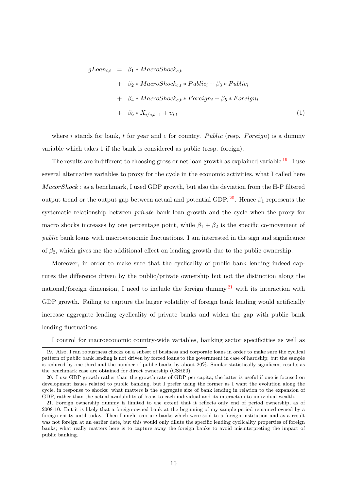<span id="page-11-3"></span>
$$
gLoan_{i,t} = \beta_1 * MacroShock_{c,t}
$$
  
+  $\beta_2 * MacroShock_{c,t} * Public_i + \beta_3 * Public_i$   
+  $\beta_4 * MacroShock_{c,t} * Foreign_i + \beta_5 * Foreign_i$   
+  $\beta_6 * X_{i/c,t-1} + v_{i,t}$  (1)

where *i* stands for bank, *t* for year and *c* for country. *Public* (resp. *Foreign*) is a dummy variable which takes 1 if the bank is considered as public (resp. foreign).

The results are indifferent to choosing gross or net loan growth as explained variable  $^{19}$  $^{19}$  $^{19}$ . I use several alternative variables to proxy for the cycle in the economic activities, what I called here *M acorShock* ; as a benchmark, I used GDP growth, but also the deviation from the H-P filtered output trend or the output gap between actual and potential GDP. <sup>[20](#page-11-1)</sup>. Hence  $\beta_1$  represents the systematic relationship between *private* bank loan growth and the cycle when the proxy for macro shocks increases by one percentage point, while  $\beta_1 + \beta_2$  is the specific co-movement of *public* bank loans with macroeconomic fluctuations. I am interested in the sign and significance of  $\beta_2$ , which gives me the additional effect on lending growth due to the public ownership.

Moreover, in order to make sure that the cyclicality of public bank lending indeed captures the difference driven by the public/private ownership but not the distinction along the national/foreign dimension, I need to include the foreign dummy  $21$  with its interaction with GDP growth. Failing to capture the larger volatility of foreign bank lending would artificially increase aggregate lending cyclicality of private banks and widen the gap with public bank lending fluctuations.

<span id="page-11-0"></span>I control for macroeconomic country-wide variables, banking sector specificities as well as

<sup>19.</sup> Also, I ran robustness checks on a subset of business and corporate loans in order to make sure the cyclical pattern of public bank lending is not driven by forced loans to the government in case of hardship; but the sample is reduced by one third and the number of public banks by about 20%. Similar statistically significant results as the benchmark case are obtained for direct ownership (CSH50).

<span id="page-11-1"></span><sup>20.</sup> I use GDP growth rather than the growth rate of GDP per capita; the latter is useful if one is focused on development issues related to public banking, but I prefer using the former as I want the evolution along the cycle, in response to shocks: what matters is the aggregate size of bank lending in relation to the expansion of GDP, rather than the actual availability of loans to each individual and its interaction to individual wealth.

<span id="page-11-2"></span><sup>21.</sup> Foreign ownership dummy is limited to the extent that it reflects only end of period ownership, as of 2008-10. But it is likely that a foreign-owned bank at the beginning of my sample period remained owned by a foreign entity until today. Then I might capture banks which were sold to a foreign institution and as a result was not foreign at an earlier date, but this would only dilute the specific lending cyclicality properties of foreign banks; what really matters here is to capture away the foreign banks to avoid misinterpreting the impact of public banking.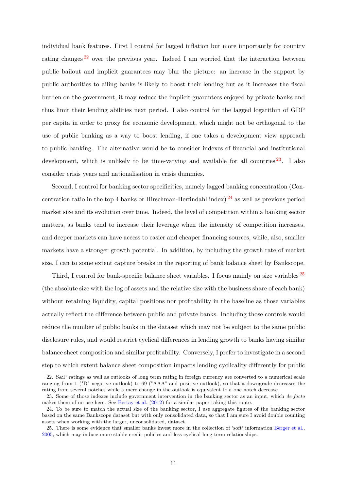individual bank features. First I control for lagged inflation but more importantly for country rating changes  $22$  over the previous year. Indeed I am worried that the interaction between public bailout and implicit guarantees may blur the picture: an increase in the support by public authorities to ailing banks is likely to boost their lending but as it increases the fiscal burden on the government, it may reduce the implicit guarantees enjoyed by private banks and thus limit their lending abilities next period. I also control for the lagged logarithm of GDP per capita in order to proxy for economic development, which might not be orthogonal to the use of public banking as a way to boost lending, if one takes a development view approach to public banking. The alternative would be to consider indexes of financial and institutional development, which is unlikely to be time-varying and available for all countries  $^{23}$  $^{23}$  $^{23}$ . I also consider crisis years and nationalisation in crisis dummies.

Second, I control for banking sector specificities, namely lagged banking concentration (Concentration ratio in the top 4 banks or Hirschman-Herfindahl index)  $^{24}$  $^{24}$  $^{24}$  as well as previous period market size and its evolution over time. Indeed, the level of competition within a banking sector matters, as banks tend to increase their leverage when the intensity of competition increases, and deeper markets can have access to easier and cheaper financing sources, while, also, smaller markets have a stronger growth potential. In addition, by including the growth rate of market size, I can to some extent capture breaks in the reporting of bank balance sheet by Bankscope.

Third, I control for bank-specific balance sheet variables. I focus mainly on size variables <sup>[25](#page-12-3)</sup> (the absolute size with the log of assets and the relative size with the business share of each bank) without retaining liquidity, capital positions nor profitability in the baseline as those variables actually reflect the difference between public and private banks. Including those controls would reduce the number of public banks in the dataset which may not be subject to the same public disclosure rules, and would restrict cyclical differences in lending growth to banks having similar balance sheet composition and similar profitability. Conversely, I prefer to investigate in a second step to which extent balance sheet composition impacts lending cyclicality differently for public

<span id="page-12-0"></span><sup>22.</sup> S&P ratings as well as outlooks of long term rating in foreign currency are converted to a numerical scale ranging from 1 ("D" negative outlook) to 69 ("AAA" and positive outlook), so that a downgrade decreases the rating from several notches while a mere change in the outlook is equivalent to a one notch decrease.

<span id="page-12-1"></span><sup>23.</sup> Some of those indexes include government intervention in the banking sector as an input, which *de facto* makes them of no use here. See [Bertay et al.](#page-29-5) [\(2012\)](#page-29-5) for a similar paper taking this route.

<span id="page-12-2"></span><sup>24.</sup> To be sure to match the actual size of the banking sector, I use aggregate figures of the banking sector based on the same Bankscope dataset but with only consolidated data, so that I am sure I avoid double counting assets when working with the larger, unconsolidated, dataset.

<span id="page-12-3"></span><sup>25.</sup> There is some evidence that smaller banks invest more in the collection of 'soft' information [Berger et al.,](#page-29-10) [2005,](#page-29-10) which may induce more stable credit policies and less cyclical long-term relationships.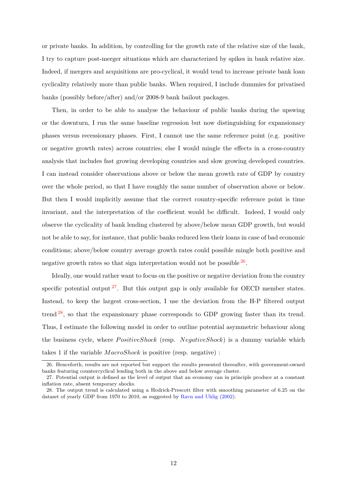or private banks. In addition, by controlling for the growth rate of the relative size of the bank, I try to capture post-merger situations which are characterized by spikes in bank relative size. Indeed, if mergers and acquisitions are pro-cyclical, it would tend to increase private bank loan cyclicality relatively more than public banks. When required, I include dummies for privatised banks (possibly before/after) and/or 2008-9 bank bailout packages.

Then, in order to be able to analyse the behaviour of public banks during the upswing or the downturn, I run the same baseline regression but now distinguishing for expansionary phases versus recessionary phases. First, I cannot use the same reference point (e.g. positive or negative growth rates) across countries; else I would mingle the effects in a cross-country analysis that includes fast growing developing countries and slow growing developed countries. I can instead consider observations above or below the mean growth rate of GDP by country over the whole period, so that I have roughly the same number of observation above or below. But then I would implicitly assume that the correct country-specific reference point is time invariant, and the interpretation of the coefficient would be difficult. Indeed, I would only observe the cyclicality of bank lending clustered by above/below mean GDP growth, but would not be able to say, for instance, that public banks reduced less their loans in case of bad economic conditions; above/below country average growth rates could possible mingle both positive and negative growth rates so that sign interpretation would not be possible  $26$ .

Ideally, one would rather want to focus on the positive or negative deviation from the country specific potential output  $27$ . But this output gap is only available for OECD member states. Instead, to keep the largest cross-section, I use the deviation from the H-P filtered output trend  $28$ , so that the expansionary phase corresponds to GDP growing faster than its trend. Thus, I estimate the following model in order to outline potential asymmetric behaviour along the business cycle, where *P ositiveShock* (resp. *NegativeShock*) is a dummy variable which takes 1 if the variable *M acroShock* is positive (resp. negative) :

<span id="page-13-0"></span><sup>26.</sup> Henceforth, results are not reported but support the results presented thereafter, with government-owned banks featuring countercyclical lending both in the above and below average cluster.

<span id="page-13-1"></span><sup>27.</sup> Potential output is defined as the level of output that an economy can in principle produce at a constant inflation rate, absent temporary shocks.

<span id="page-13-2"></span><sup>28.</sup> The output trend is calculated using a Hodrick-Prescott filter with smoothing parameter of 6.25 on the dataset of yearly GDP from 1970 to 2010, as suggested by [Ravn and Uhlig](#page-31-4) [\(2002\)](#page-31-4).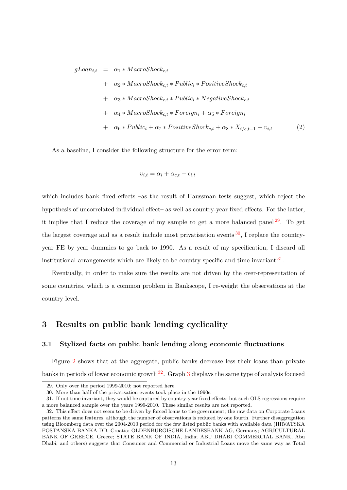$$
gLoani_{,t} = \alpha_1 * MacroShock_{c,t}
$$
  
+  $\alpha_2 * MacroShock_{c,t} * Public_i * PositiveShock_{c,t}$   
+  $\alpha_3 * MacroShock_{c,t} * Public_i * NegativeShock_{c,t}$   
+  $\alpha_4 * MacroShock_{c,t} * Foreign_i + \alpha_5 * Foreign_i$   
+  $\alpha_6 * Public_i + \alpha_7 * PositiveShock_{c,t} + \alpha_8 * X_{i/c,t-1} + v_{i,t}$  (2)

As a baseline, I consider the following structure for the error term:

$$
v_{i,t} = \alpha_i + \alpha_{c,t} + \epsilon_{i,t}
$$

which includes bank fixed effects –as the result of Haussman tests suggest, which reject the hypothesis of uncorrelated individual effect– as well as country-year fixed effects. For the latter, it implies that I reduce the coverage of my sample to get a more balanced panel  $29$ . To get the largest coverage and as a result include most privatisation events  $30$ , I replace the countryyear FE by year dummies to go back to 1990. As a result of my specification, I discard all institutional arrangements which are likely to be country specific and time invariant  $31$ .

Eventually, in order to make sure the results are not driven by the over-representation of some countries, which is a common problem in Bankscope, I re-weight the observations at the country level.

# **3 Results on public bank lending cyclicality**

#### **3.1 Stylized facts on public bank lending along economic fluctuations**

Figure [2](#page-15-0) shows that at the aggregate, public banks decrease less their loans than private banks in periods of lower economic growth  $3^2$  $3^2$ . Graph 3 displays the same type of analysis focused

<span id="page-14-0"></span><sup>29.</sup> Only over the period 1999-2010; not reported here.

<span id="page-14-2"></span><span id="page-14-1"></span><sup>30.</sup> More than half of the privatisation events took place in the 1990s.

<sup>31.</sup> If not time invariant, they would be captured by country-year fixed effects; but such OLS regressions require a more balanced sample over the years 1999-2010. These similar results are not reported.

<span id="page-14-3"></span><sup>32.</sup> This effect does not seem to be driven by forced loans to the government; the raw data on Corporate Loans patterns the same features, although the number of observations is reduced by one fourth. Further disaggregation using Bloomberg data over the 2004-2010 period for the few listed public banks with available data (HRVATSKA POSTANSKA BANKA DD, Croatia; OLDENBURGISCHE LANDESBANK AG, Germany; AGRICULTURAL BANK OF GREECE, Greece; STATE BANK OF INDIA, India; ABU DHABI COMMERCIAL BANK, Abu Dhabi; and others) suggests that Consumer and Commercial or Industrial Loans move the same way as Total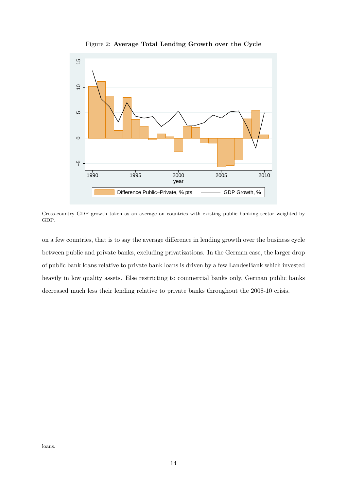

<span id="page-15-0"></span>Figure 2: **Average Total Lending Growth over the Cycle**

Cross-country GDP growth taken as an average on countries with existing public banking sector weighted by GDP.

on a few countries, that is to say the average difference in lending growth over the business cycle between public and private banks, excluding privatizations. In the German case, the larger drop of public bank loans relative to private bank loans is driven by a few LandesBank which invested heavily in low quality assets. Else restricting to commercial banks only, German public banks decreased much less their lending relative to private banks throughout the 2008-10 crisis.

loans.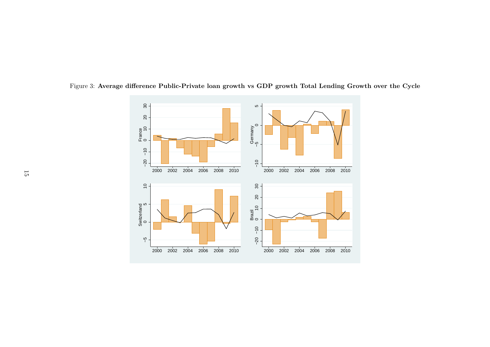

<span id="page-16-0"></span>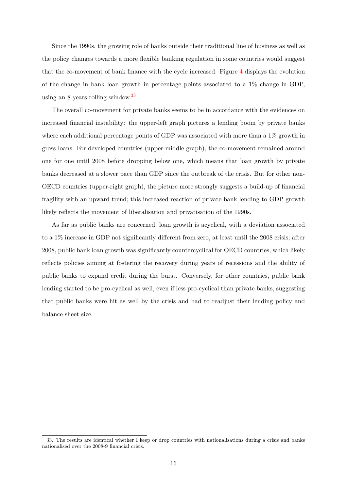Since the 1990s, the growing role of banks outside their traditional line of business as well as the policy changes towards a more flexible banking regulation in some countries would suggest that the co-movement of bank finance with the cycle increased. Figure [4](#page-18-0) displays the evolution of the change in bank loan growth in percentage points associated to a 1% change in GDP, using an 8-years rolling window [33](#page-17-0).

The overall co-movement for private banks seems to be in accordance with the evidences on increased financial instability: the upper-left graph pictures a lending boom by private banks where each additional percentage points of GDP was associated with more than a 1% growth in gross loans. For developed countries (upper-middle graph), the co-movement remained around one for one until 2008 before dropping below one, which means that loan growth by private banks decreased at a slower pace than GDP since the outbreak of the crisis. But for other non-OECD countries (upper-right graph), the picture more strongly suggests a build-up of financial fragility with an upward trend; this increased reaction of private bank lending to GDP growth likely reflects the movement of liberalisation and privatisation of the 1990s.

As far as public banks are concerned, loan growth is acyclical, with a deviation associated to a 1% increase in GDP not significantly different from zero, at least until the 2008 crisis; after 2008, public bank loan growth was significantly countercyclical for OECD countries, which likely reflects policies aiming at fostering the recovery during years of recessions and the ability of public banks to expand credit during the burst. Conversely, for other countries, public bank lending started to be pro-cyclical as well, even if less pro-cyclical than private banks, suggesting that public banks were hit as well by the crisis and had to readjust their lending policy and balance sheet size.

<span id="page-17-0"></span><sup>33.</sup> The results are identical whether I keep or drop countries with nationalisations during a crisis and banks nationalised over the 2008-9 financial crisis.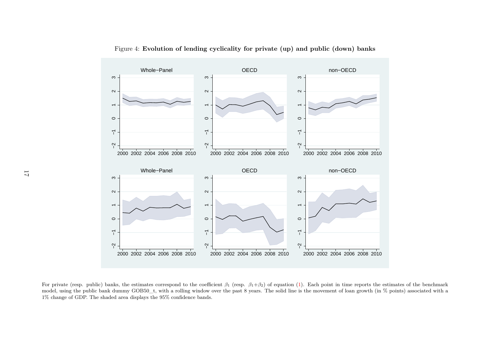

<span id="page-18-0"></span>Figure 4: Evolution of lending cyclicality for private  $\operatorname{(up)}$  and public  $\operatorname{(down)}$  banks

For private (resp. public) banks, the estimates correspond to the coefficient *β*<sup>1</sup> (resp. *β*1+*β*2) of equation [\(1\)](#page-11-3). Each point in time reports the estimates of the benchmarkmodel, using the public bank dummy GOB50\_t, with a rolling window over the past 8 years. The solid line is the movement of loan growth (in  $\%$  points) associated with a 1% change of GDP. The shaded area displays the 95% confidence bands.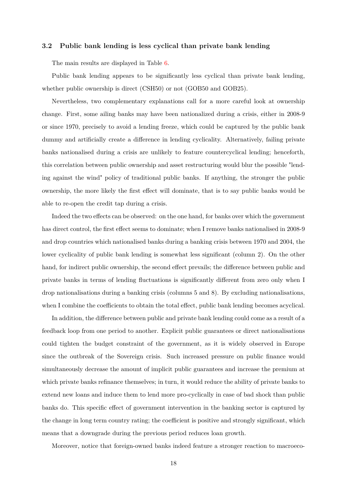#### <span id="page-19-0"></span>**3.2 Public bank lending is less cyclical than private bank lending**

The main results are displayed in Table [6.](#page-39-0)

Public bank lending appears to be significantly less cyclical than private bank lending, whether public ownership is direct (CSH50) or not (GOB50 and GOB25).

Nevertheless, two complementary explanations call for a more careful look at ownership change. First, some ailing banks may have been nationalized during a crisis, either in 2008-9 or since 1970, precisely to avoid a lending freeze, which could be captured by the public bank dummy and artificially create a difference in lending cyclicality. Alternatively, failing private banks nationalised during a crisis are unlikely to feature countercyclical lending; henceforth, this correlation between public ownership and asset restructuring would blur the possible "lending against the wind" policy of traditional public banks. If anything, the stronger the public ownership, the more likely the first effect will dominate, that is to say public banks would be able to re-open the credit tap during a crisis.

Indeed the two effects can be observed: on the one hand, for banks over which the government has direct control, the first effect seems to dominate; when I remove banks nationalised in 2008-9 and drop countries which nationalised banks during a banking crisis between 1970 and 2004, the lower cyclicality of public bank lending is somewhat less significant (column 2). On the other hand, for indirect public ownership, the second effect prevails; the difference between public and private banks in terms of lending fluctuations is significantly different from zero only when I drop nationalisations during a banking crisis (columns 5 and 8). By excluding nationalisations, when I combine the coefficients to obtain the total effect, public bank lending becomes acyclical.

In addition, the difference between public and private bank lending could come as a result of a feedback loop from one period to another. Explicit public guarantees or direct nationalisations could tighten the budget constraint of the government, as it is widely observed in Europe since the outbreak of the Sovereign crisis. Such increased pressure on public finance would simultaneously decrease the amount of implicit public guarantees and increase the premium at which private banks refinance themselves; in turn, it would reduce the ability of private banks to extend new loans and induce them to lend more pro-cyclically in case of bad shock than public banks do. This specific effect of government intervention in the banking sector is captured by the change in long term country rating; the coefficient is positive and strongly significant, which means that a downgrade during the previous period reduces loan growth.

Moreover, notice that foreign-owned banks indeed feature a stronger reaction to macroeco-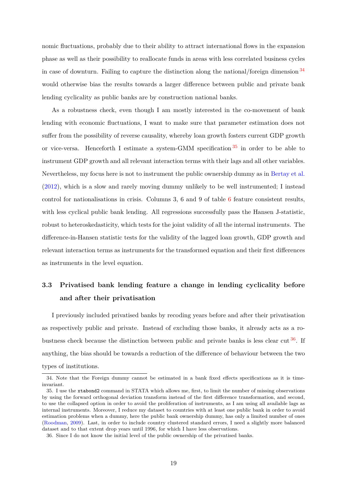nomic fluctuations, probably due to their ability to attract international flows in the expansion phase as well as their possibility to reallocate funds in areas with less correlated business cycles in case of downturn. Failing to capture the distinction along the national/foreign dimension  $34$ would otherwise bias the results towards a larger difference between public and private bank lending cyclicality as public banks are by construction national banks.

As a robustness check, even though I am mostly interested in the co-movement of bank lending with economic fluctuations, I want to make sure that parameter estimation does not suffer from the possibility of reverse causality, whereby loan growth fosters current GDP growth or vice-versa. Henceforth I estimate a system-GMM specification  $35$  in order to be able to instrument GDP growth and all relevant interaction terms with their lags and all other variables. Nevertheless, my focus here is not to instrument the public ownership dummy as in [Bertay et al.](#page-29-5) [\(2012\)](#page-29-5), which is a slow and rarely moving dummy unlikely to be well instrumented; I instead control for nationalisations in crisis. Columns 3, 6 and 9 of table [6](#page-39-0) feature consistent results, with less cyclical public bank lending. All regressions successfully pass the Hansen J-statistic, robust to heteroskedasticity, which tests for the joint validity of all the internal instruments. The difference-in-Hansen statistic tests for the validity of the lagged loan growth, GDP growth and relevant interaction terms as instruments for the transformed equation and their first differences as instruments in the level equation.

# **3.3 Privatised bank lending feature a change in lending cyclicality before and after their privatisation**

I previously included privatised banks by recoding years before and after their privatisation as respectively public and private. Instead of excluding those banks, it already acts as a robustness check because the distinction between public and private banks is less clear cut  $36$ . If anything, the bias should be towards a reduction of the difference of behaviour between the two types of institutions.

<span id="page-20-0"></span><sup>34.</sup> Note that the Foreign dummy cannot be estimated in a bank fixed effects specifications as it is timeinvariant.

<span id="page-20-1"></span><sup>35.</sup> I use the xtabond2 command in STATA which allows me, first, to limit the number of missing observations by using the forward orthogonal deviation transform instead of the first difference transformation, and second, to use the collapsed option in order to avoid the proliferation of instruments, as I am using all available lags as internal instruments. Moreover, I reduce my dataset to countries with at least one public bank in order to avoid estimation problems when a dummy, here the public bank ownership dummy, has only a limited number of ones [\(Roodman,](#page-31-5) [2009\)](#page-31-5). Last, in order to include country clustered standard errors, I need a slightly more balanced dataset and to that extent drop years until 1996, for which I have less observations.

<span id="page-20-2"></span><sup>36.</sup> Since I do not know the initial level of the public ownership of the privatised banks.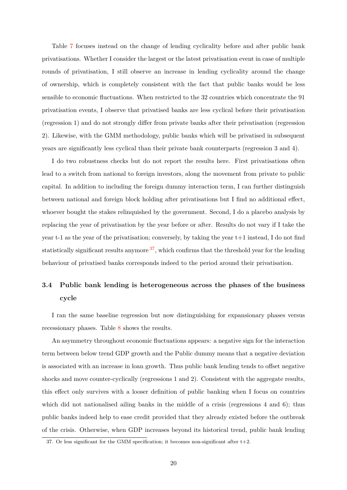Table [7](#page-40-0) focuses instead on the change of lending cyclicality before and after public bank privatisations. Whether I consider the largest or the latest privatisation event in case of multiple rounds of privatisation, I still observe an increase in lending cyclicality around the change of ownership, which is completely consistent with the fact that public banks would be less sensible to economic fluctuations. When restricted to the 32 countries which concentrate the 91 privatisation events, I observe that privatised banks are less cyclical before their privatisation (regression 1) and do not strongly differ from private banks after their privatisation (regression 2). Likewise, with the GMM methodology, public banks which will be privatised in subsequent years are significantly less cyclical than their private bank counterparts (regression 3 and 4).

I do two robustness checks but do not report the results here. First privatisations often lead to a switch from national to foreign investors, along the movement from private to public capital. In addition to including the foreign dummy interaction term, I can further distinguish between national and foreign block holding after privatisations but I find no additional effect, whoever bought the stakes relinquished by the government. Second, I do a placebo analysis by replacing the year of privatisation by the year before or after. Results do not vary if I take the year t-1 as the year of the privatisation; conversely, by taking the year  $t+1$  instead, I do not find statistically significant results anymore  $37$ , which confirms that the threshold year for the lending behaviour of privatised banks corresponds indeed to the period around their privatisation.

# **3.4 Public bank lending is heterogeneous across the phases of the business cycle**

I ran the same baseline regression but now distinguishing for expansionary phases versus recessionary phases. Table [8](#page-41-0) shows the results.

An asymmetry throughout economic fluctuations appears: a negative sign for the interaction term between below trend GDP growth and the Public dummy means that a negative deviation is associated with an increase in loan growth. Thus public bank lending tends to offset negative shocks and move counter-cyclically (regressions 1 and 2). Consistent with the aggregate results, this effect only survives with a looser definition of public banking when I focus on countries which did not nationalised ailing banks in the middle of a crisis (regressions 4 and 6); thus public banks indeed help to ease credit provided that they already existed before the outbreak of the crisis. Otherwise, when GDP increases beyond its historical trend, public bank lending

<span id="page-21-0"></span><sup>37.</sup> Or less significant for the GMM specification; it becomes non-significant after  $t+2$ .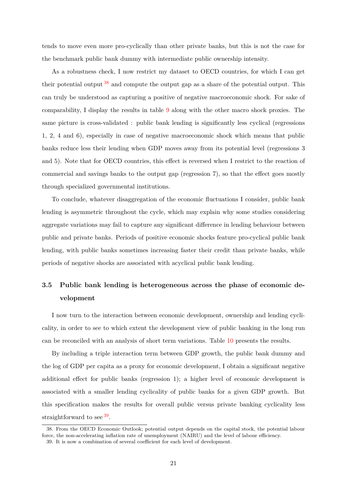tends to move even more pro-cyclically than other private banks, but this is not the case for the benchmark public bank dummy with intermediate public ownership intensity.

As a robustness check, I now restrict my dataset to OECD countries, for which I can get their potential output  $38$  and compute the output gap as a share of the potential output. This can truly be understood as capturing a positive of negative macroeconomic shock. For sake of comparability, I display the results in table [9](#page-42-0) along with the other macro shock proxies. The same picture is cross-validated : public bank lending is significantly less cyclical (regressions 1, 2, 4 and 6), especially in case of negative macroeconomic shock which means that public banks reduce less their lending when GDP moves away from its potential level (regressions 3 and 5). Note that for OECD countries, this effect is reversed when I restrict to the reaction of commercial and savings banks to the output gap (regression 7), so that the effect goes mostly through specialized governmental institutions.

To conclude, whatever disaggregation of the economic fluctuations I consider, public bank lending is asymmetric throughout the cycle, which may explain why some studies considering aggregate variations may fail to capture any significant difference in lending behaviour between public and private banks. Periods of positive economic shocks feature pro-cyclical public bank lending, with public banks sometimes increasing faster their credit than private banks, while periods of negative shocks are associated with acyclical public bank lending.

# <span id="page-22-2"></span>**3.5 Public bank lending is heterogeneous across the phase of economic development**

I now turn to the interaction between economic development, ownership and lending cyclicality, in order to see to which extent the development view of public banking in the long run can be reconciled with an analysis of short term variations. Table [10](#page-43-0) presents the results.

By including a triple interaction term between GDP growth, the public bank dummy and the log of GDP per capita as a proxy for economic development, I obtain a significant negative additional effect for public banks (regression 1); a higher level of economic development is associated with a smaller lending cyclicality of public banks for a given GDP growth. But this specification makes the results for overall public versus private banking cyclicality less straightforward to see  $39$ .

<span id="page-22-0"></span><sup>38.</sup> From the OECD Economic Outlook; potential output depends on the capital stock, the potential labour force, the non-accelerating inflation rate of unemployment (NAIRU) and the level of labour efficiency.

<span id="page-22-1"></span><sup>39.</sup> It is now a combination of several coefficient for each level of development.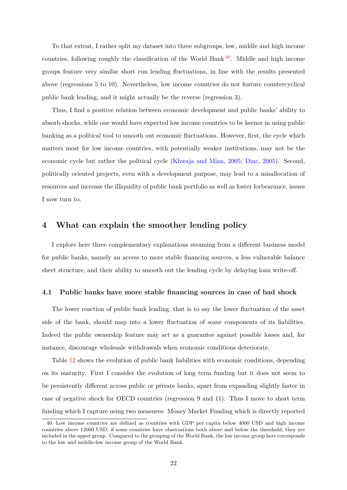To that extent, I rather split my dataset into three subgroups, low, middle and high income countries, following roughly the classification of the World Bank  $40$ . Middle and high income groups feature very similar short run lending fluctuations, in line with the results presented above (regressions 5 to 10). Nevertheless, low income countries do not feature countercyclical public bank lending, and it might actually be the reverse (regression 3).

Thus, I find a positive relation between economic development and public banks' ability to absorb shocks, while one would have expected low income countries to be keener in using public banking as a political tool to smooth out economic fluctuations. However, first, the cycle which matters most for low income countries, with potentially weaker institutions, may not be the economic cycle but rather the political cycle [\(Khwaja and Mian,](#page-30-9) [2005;](#page-30-9) [Dinc,](#page-29-8) [2005\)](#page-29-8). Second, politically oriented projects, even with a development purpose, may lead to a misallocation of resources and increase the illiquidity of public bank portfolio as well as foster forbearance, issues I now turn to.

### **4 What can explain the smoother lending policy**

I explore here three complementary explanations steaming from a different business model for public banks, namely an access to more stable financing sources, a less vulnerable balance sheet structure, and their ability to smooth out the lending cycle by delaying loan write-off.

#### <span id="page-23-1"></span>**4.1 Public banks have more stable financing sources in case of bad shock**

The lower reaction of public bank lending, that is to say the lower fluctuation of the asset side of the bank, should map into a lower fluctuation of some components of its liabilities. Indeed the public ownership feature may act as a guarantee against possible losses and, for instance, discourage wholesale withdrawals when economic conditions deteriorate.

Table [12](#page-45-0) shows the evolution of public bank liabilities with economic conditions, depending on its maturity. First I consider the evolution of long term funding but it does not seem to be persistently different across public or private banks, apart from expanding slightly faster in case of negative shock for OECD countries (regression 9 and 11). Thus I move to short term funding which I capture using two measures: Money Market Funding which is directly reported

<span id="page-23-0"></span><sup>40.</sup> Low income countries are defined as countries with GDP per capita below 4000 USD and high income countries above 12000 USD; if some countries have observations both above and below the threshold, they are included in the upper group. Compared to the grouping of the World Bank, the low income group here corresponds to the low and middle-low income group of the World Bank.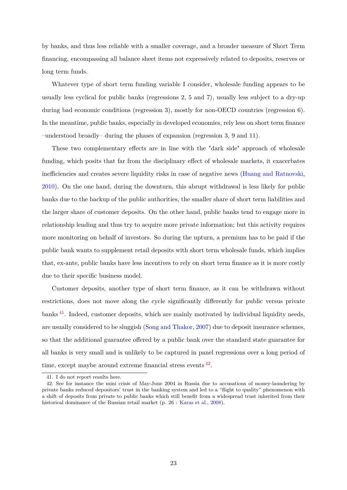by banks, and thus less reliable with a smaller coverage, and a broader measure of Short Term financing, encompassing all balance sheet items not expressively related to deposits, reserves or long term funds.

Whatever type of short term funding variable I consider, wholesale funding appears to be usually less cyclical for public banks (regressions 2, 5 and 7), usually less subject to a dry-up during bad economic conditions (regression 3), mostly for non-OECD countries (regression 6). In the meantime, public banks, especially in developed economies, rely less on short term finance –understood broadly– during the phases of expansion (regression 3, 9 and 11).

These two complementary effects are in line with the "dark side" approach of wholesale funding, which posits that far from the disciplinary effect of wholesale markets, it exacerbates inefficiencies and creates severe liquidity risks in case of negative news [\(Huang and Ratnovski,](#page-30-10) [2010\)](#page-30-10). On the one hand, during the downturn, this abrupt withdrawal is less likely for public banks due to the backup of the public authorities, the smaller share of short term liabilities and the larger share of customer deposits. On the other hand, public banks tend to engage more in relationship lending and thus try to acquire more private information; but this activity requires more monitoring on behalf of investors. So during the upturn, a premium has to be paid if the public bank wants to supplement retail deposits with short term wholesale funds, which implies that, ex-ante, public banks have less incentives to rely on short term finance as it is more costly due to their specific business model.

Customer deposits, another type of short term finance, as it can be withdrawn without restrictions, does not move along the cycle significantly differently for public versus private banks<sup>[41](#page-24-0)</sup>. Indeed, customer deposits, which are mainly motivated by individual liquidity needs, are usually considered to be sluggish [\(Song and Thakor,](#page-31-6) [2007\)](#page-31-6) due to deposit insurance schemes, so that the additional guarantee offered by a public bank over the standard state guarantee for all banks is very small and is unlikely to be captured in panel regressions over a long period of time, except maybe around extreme financial stress events  $42$ .

<span id="page-24-1"></span><span id="page-24-0"></span><sup>41.</sup> I do not report results here.

<sup>42.</sup> See for instance the mini crisis of May-June 2004 in Russia due to accusations of money-laundering by private banks reduced depositors' trust in the banking system and led to a "flight to quality" phenomenon with a shift of deposits from private to public banks which still benefit from a widespread trust inherited from their historical dominance of the Russian retail market (p. 26 : [Karas et al.,](#page-30-11) [2008\)](#page-30-11).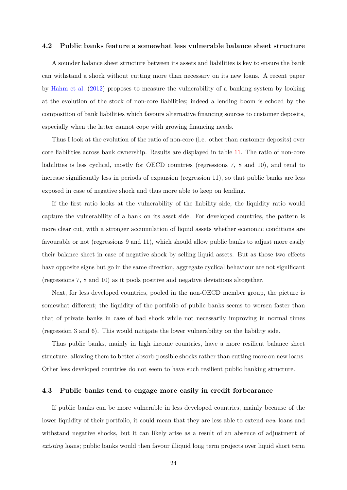#### <span id="page-25-0"></span>**4.2 Public banks feature a somewhat less vulnerable balance sheet structure**

A sounder balance sheet structure between its assets and liabilities is key to ensure the bank can withstand a shock without cutting more than necessary on its new loans. A recent paper by [Hahm et al.](#page-30-12) [\(2012\)](#page-30-12) proposes to measure the vulnerability of a banking system by looking at the evolution of the stock of non-core liabilities; indeed a lending boom is echoed by the composition of bank liabilities which favours alternative financing sources to customer deposits, especially when the latter cannot cope with growing financing needs.

Thus I look at the evolution of the ratio of non-core (i.e. other than customer deposits) over core liabilities across bank ownership. Results are displayed in table [11.](#page-44-0) The ratio of non-core liabilities is less cyclical, mostly for OECD countries (regressions 7, 8 and 10), and tend to increase significantly less in periods of expansion (regression 11), so that public banks are less exposed in case of negative shock and thus more able to keep on lending.

If the first ratio looks at the vulnerability of the liability side, the liquidity ratio would capture the vulnerability of a bank on its asset side. For developed countries, the pattern is more clear cut, with a stronger accumulation of liquid assets whether economic conditions are favourable or not (regressions 9 and 11), which should allow public banks to adjust more easily their balance sheet in case of negative shock by selling liquid assets. But as those two effects have opposite signs but go in the same direction, aggregate cyclical behaviour are not significant (regressions 7, 8 and 10) as it pools positive and negative deviations altogether.

Next, for less developed countries, pooled in the non-OECD member group, the picture is somewhat different; the liquidity of the portfolio of public banks seems to worsen faster than that of private banks in case of bad shock while not necessarily improving in normal times (regression 3 and 6). This would mitigate the lower vulnerability on the liability side.

Thus public banks, mainly in high income countries, have a more resilient balance sheet structure, allowing them to better absorb possible shocks rather than cutting more on new loans. Other less developed countries do not seem to have such resilient public banking structure.

#### <span id="page-25-1"></span>**4.3 Public banks tend to engage more easily in credit forbearance**

If public banks can be more vulnerable in less developed countries, mainly because of the lower liquidity of their portfolio, it could mean that they are less able to extend *new* loans and withstand negative shocks, but it can likely arise as a result of an absence of adjustment of *existing* loans; public banks would then favour illiquid long term projects over liquid short term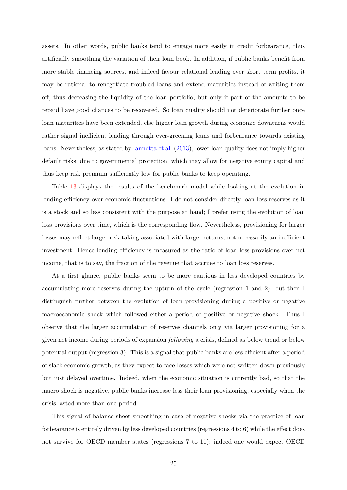assets. In other words, public banks tend to engage more easily in credit forbearance, thus artificially smoothing the variation of their loan book. In addition, if public banks benefit from more stable financing sources, and indeed favour relational lending over short term profits, it may be rational to renegotiate troubled loans and extend maturities instead of writing them off, thus decreasing the liquidity of the loan portfolio, but only if part of the amounts to be repaid have good chances to be recovered. So loan quality should not deteriorate further once loan maturities have been extended, else higher loan growth during economic downturns would rather signal inefficient lending through ever-greening loans and forbearance towards existing loans. Nevertheless, as stated by [Iannotta et al.](#page-30-6) [\(2013\)](#page-30-6), lower loan quality does not imply higher default risks, due to governmental protection, which may allow for negative equity capital and thus keep risk premium sufficiently low for public banks to keep operating.

Table [13](#page-47-0) displays the results of the benchmark model while looking at the evolution in lending efficiency over economic fluctuations. I do not consider directly loan loss reserves as it is a stock and so less consistent with the purpose at hand; I prefer using the evolution of loan loss provisions over time, which is the corresponding flow. Nevertheless, provisioning for larger losses may reflect larger risk taking associated with larger returns, not necessarily an inefficient investment. Hence lending efficiency is measured as the ratio of loan loss provisions over net income, that is to say, the fraction of the revenue that accrues to loan loss reserves.

At a first glance, public banks seem to be more cautious in less developed countries by accumulating more reserves during the upturn of the cycle (regression 1 and 2); but then I distinguish further between the evolution of loan provisioning during a positive or negative macroeconomic shock which followed either a period of positive or negative shock. Thus I observe that the larger accumulation of reserves channels only via larger provisioning for a given net income during periods of expansion *following* a crisis, defined as below trend or below potential output (regression 3). This is a signal that public banks are less efficient after a period of slack economic growth, as they expect to face losses which were not written-down previously but just delayed overtime. Indeed, when the economic situation is currently bad, so that the macro shock is negative, public banks increase less their loan provisioning, especially when the crisis lasted more than one period.

This signal of balance sheet smoothing in case of negative shocks via the practice of loan forbearance is entirely driven by less developed countries (regressions 4 to 6) while the effect does not survive for OECD member states (regressions 7 to 11); indeed one would expect OECD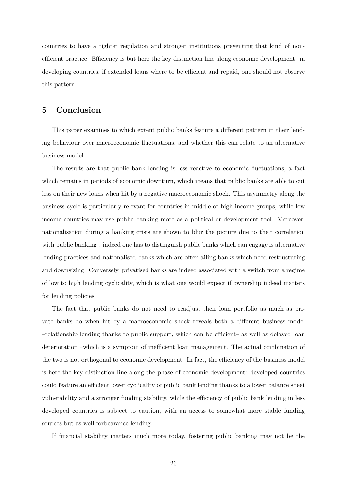countries to have a tighter regulation and stronger institutions preventing that kind of nonefficient practice. Efficiency is but here the key distinction line along economic development: in developing countries, if extended loans where to be efficient and repaid, one should not observe this pattern.

# <span id="page-27-0"></span>**5 Conclusion**

This paper examines to which extent public banks feature a different pattern in their lending behaviour over macroeconomic fluctuations, and whether this can relate to an alternative business model.

The results are that public bank lending is less reactive to economic fluctuations, a fact which remains in periods of economic downturn, which means that public banks are able to cut less on their new loans when hit by a negative macroeconomic shock. This asymmetry along the business cycle is particularly relevant for countries in middle or high income groups, while low income countries may use public banking more as a political or development tool. Moreover, nationalisation during a banking crisis are shown to blur the picture due to their correlation with public banking : indeed one has to distinguish public banks which can engage is alternative lending practices and nationalised banks which are often ailing banks which need restructuring and downsizing. Conversely, privatised banks are indeed associated with a switch from a regime of low to high lending cyclicality, which is what one would expect if ownership indeed matters for lending policies.

The fact that public banks do not need to readjust their loan portfolio as much as private banks do when hit by a macroeconomic shock reveals both a different business model –relationship lending thanks to public support, which can be efficient– as well as delayed loan deterioration –which is a symptom of inefficient loan management. The actual combination of the two is not orthogonal to economic development. In fact, the efficiency of the business model is here the key distinction line along the phase of economic development: developed countries could feature an efficient lower cyclicality of public bank lending thanks to a lower balance sheet vulnerability and a stronger funding stability, while the efficiency of public bank lending in less developed countries is subject to caution, with an access to somewhat more stable funding sources but as well forbearance lending.

If financial stability matters much more today, fostering public banking may not be the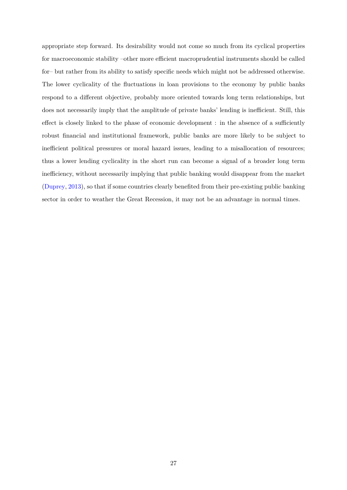appropriate step forward. Its desirability would not come so much from its cyclical properties for macroeconomic stability –other more efficient macroprudential instruments should be called for– but rather from its ability to satisfy specific needs which might not be addressed otherwise. The lower cyclicality of the fluctuations in loan provisions to the economy by public banks respond to a different objective, probably more oriented towards long term relationships, but does not necessarily imply that the amplitude of private banks' lending is inefficient. Still, this effect is closely linked to the phase of economic development : in the absence of a sufficiently robust financial and institutional framework, public banks are more likely to be subject to inefficient political pressures or moral hazard issues, leading to a misallocation of resources; thus a lower lending cyclicality in the short run can become a signal of a broader long term inefficiency, without necessarily implying that public banking would disappear from the market [\(Duprey,](#page-29-11) [2013\)](#page-29-11), so that if some countries clearly benefited from their pre-existing public banking sector in order to weather the Great Recession, it may not be an advantage in normal times.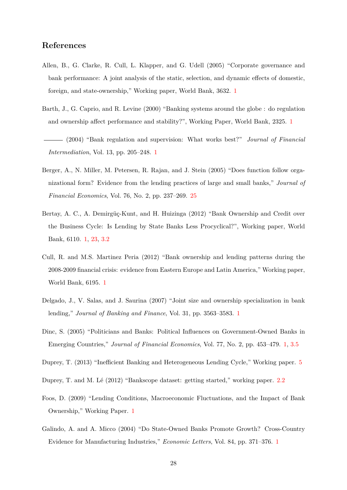# **References**

- <span id="page-29-2"></span>Allen, B., G. Clarke, R. Cull, L. Klapper, and G. Udell (2005) "Corporate governance and bank performance: A joint analysis of the static, selection, and dynamic effects of domestic, foreign, and state-ownership," Working paper, World Bank, 3632. [1](#page-4-0)
- <span id="page-29-7"></span>Barth, J., G. Caprio, and R. Levine (2000) "Banking systems around the globe : do regulation and ownership affect performance and stability?", Working Paper, World Bank, 2325. [1](#page-4-2)
- <span id="page-29-0"></span>(2004) "Bank regulation and supervision: What works best?" *Journal of Financial Intermediation*, Vol. 13, pp. 205–248. [1](#page-4-0)
- <span id="page-29-10"></span>Berger, A., N. Miller, M. Petersen, R. Rajan, and J. Stein (2005) "Does function follow organizational form? Evidence from the lending practices of large and small banks," *Journal of Financial Economics*, Vol. 76, No. 2, pp. 237–269. [25](#page-12-3)
- <span id="page-29-5"></span>Bertay, A. C., A. Demirgüç-Kunt, and H. Huizinga (2012) "Bank Ownership and Credit over the Business Cycle: Is Lending by State Banks Less Procyclical?", Working paper, World Bank, 6110. [1,](#page-4-2) [23,](#page-12-1) [3.2](#page-19-0)
- <span id="page-29-6"></span>Cull, R. and M.S. Martinez Peria (2012) "Bank ownership and lending patterns during the 2008-2009 financial crisis: evidence from Eastern Europe and Latin America," Working paper, World Bank, 6195. [1](#page-4-2)
- <span id="page-29-3"></span>Delgado, J., V. Salas, and J. Saurina (2007) "Joint size and ownership specialization in bank lending," *Journal of Banking and Finance*, Vol. 31, pp. 3563–3583. [1](#page-4-2)
- <span id="page-29-8"></span>Dinc, S. (2005) "Politicians and Banks: Political Influences on Government-Owned Banks in Emerging Countries," *Journal of Financial Economics*, Vol. 77, No. 2, pp. 453–479. [1,](#page-4-2) [3.5](#page-22-2)
- <span id="page-29-11"></span>Duprey, T. (2013) "Inefficient Banking and Heterogeneous Lending Cycle," Working paper. [5](#page-27-0)
- <span id="page-29-9"></span>Duprey, T. and M. Lé (2012) "Bankscope dataset: getting started," working paper. [2.2](#page-9-2)
- <span id="page-29-4"></span>Foos, D. (2009) "Lending Conditions, Macroeconomic Fluctuations, and the Impact of Bank Ownership," Working Paper. [1](#page-4-2)
- <span id="page-29-1"></span>Galindo, A. and A. Micco (2004) "Do State-Owned Banks Promote Growth? Cross-Country Evidence for Manufacturing Industries," *Economic Letters*, Vol. 84, pp. 371–376. [1](#page-4-0)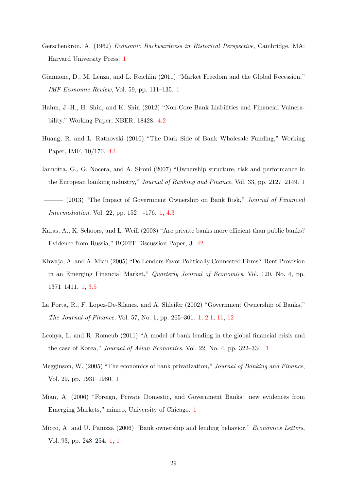- <span id="page-30-8"></span>Gerschenkron, A. (1962) *Economic Backwardness in Historical Perspective*, Cambridge, MA: Harvard University Press. [1](#page-4-2)
- <span id="page-30-1"></span>Giannone, D., M. Lenza, and L. Reichlin (2011) "Market Freedom and the Global Recession," *IMF Economic Review*, Vol. 59, pp. 111–135. [1](#page-4-2)
- <span id="page-30-12"></span>Hahm, J.-H., H. Shin, and K. Shin (2012) "Non-Core Bank Liabilities and Financial Vulnerability," Working Paper, NBER, 18428. [4.2](#page-25-0)
- <span id="page-30-10"></span>Huang, R. and L. Ratnovski (2010) "The Dark Side of Bank Wholesale Funding," Working Paper, IMF, 10/170. [4.1](#page-23-1)
- <span id="page-30-4"></span>Iannotta, G., G. Nocera, and A. Sironi (2007) "Ownership structure, risk and performance in the European banking industry," *Journal of Banking and Finance*, Vol. 33, pp. 2127–2149. [1](#page-4-0)
- <span id="page-30-6"></span>(2013) "The Impact of Government Ownership on Bank Risk," *Journal of Financial Intermediation*, Vol. 22, pp. 152—-176. [1,](#page-4-2) [4.3](#page-25-1)
- <span id="page-30-11"></span>Karas, A., K. Schoors, and L. Weill (2008) "Are private banks more efficient than public banks? Evidence from Russia," BOFIT Discussion Paper, 3. [42](#page-24-1)
- <span id="page-30-9"></span>Khwaja, A. and A. Mian (2005) "Do Lenders Favor Politically Connected Firms? Rent Provision in an Emerging Financial Market," *Quarterly Journal of Economics*, Vol. 120, No. 4, pp. 1371–1411. [1,](#page-4-2) [3.5](#page-22-2)
- <span id="page-30-0"></span>La Porta, R., F. Lopez-De-Silanes, and A. Shleifer (2002) "Government Ownership of Banks," *The Journal of Finance*, Vol. 57, No. 1, pp. 265–301. [1,](#page-4-2) [2.1,](#page-7-5) [11,](#page-8-3) [12](#page-8-4)
- <span id="page-30-7"></span>Leonya, L. and R. Romeub (2011) "A model of bank lending in the global financial crisis and the case of Korea," *Journal of Asian Economics*, Vol. 22, No. 4, pp. 322–334. [1](#page-4-2)
- <span id="page-30-5"></span>Megginson, W. (2005) "The economics of bank privatization," *Journal of Banking and Finance*, Vol. 29, pp. 1931–1980. [1](#page-4-0)
- <span id="page-30-2"></span>Mian, A. (2006) "Foreign, Private Domestic, and Government Banks: new evidences from Emerging Markets," mimeo, University of Chicago. [1](#page-4-0)
- <span id="page-30-3"></span>Micco, A. and U. Panizza (2006) "Bank ownership and lending behavior," *Economics Letters*, Vol. 93, pp. 248–254. [1,](#page-4-0) [1](#page-4-2)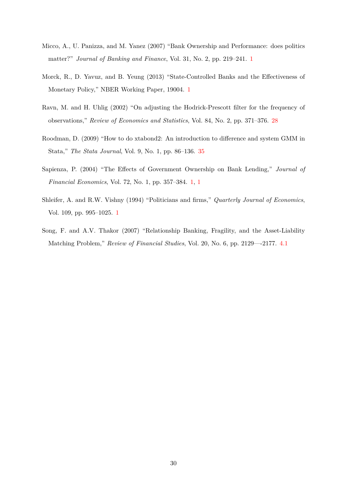- <span id="page-31-3"></span>Micco, A., U. Panizza, and M. Yanez (2007) "Bank Ownership and Performance: does politics matter?" *Journal of Banking and Finance*, Vol. 31, No. 2, pp. 219–241. [1](#page-4-2)
- <span id="page-31-0"></span>Morck, R., D. Yavuz, and B. Yeung (2013) "State-Controlled Banks and the Effectiveness of Monetary Policy," NBER Working Paper, 19004. [1](#page-4-2)
- <span id="page-31-4"></span>Ravn, M. and H. Uhlig (2002) "On adjusting the Hodrick-Prescott filter for the frequency of observations," *Review of Economics and Statistics*, Vol. 84, No. 2, pp. 371–376. [28](#page-13-2)
- <span id="page-31-5"></span>Roodman, D. (2009) "How to do xtabond2: An introduction to difference and system GMM in Stata," *The Stata Journal*, Vol. 9, No. 1, pp. 86–136. [35](#page-20-1)
- <span id="page-31-1"></span>Sapienza, P. (2004) "The Effects of Government Ownership on Bank Lending," *Journal of Financial Economics*, Vol. 72, No. 1, pp. 357–384. [1,](#page-4-0) [1](#page-4-2)
- <span id="page-31-2"></span>Shleifer, A. and R.W. Vishny (1994) "Politicians and firms," *Quarterly Journal of Economics*, Vol. 109, pp. 995–1025. [1](#page-4-2)
- <span id="page-31-6"></span>Song, F. and A.V. Thakor (2007) "Relationship Banking, Fragility, and the Asset-Liability Matching Problem," *Review of Financial Studies*, Vol. 20, No. 6, pp. 2129—-2177. [4.1](#page-23-1)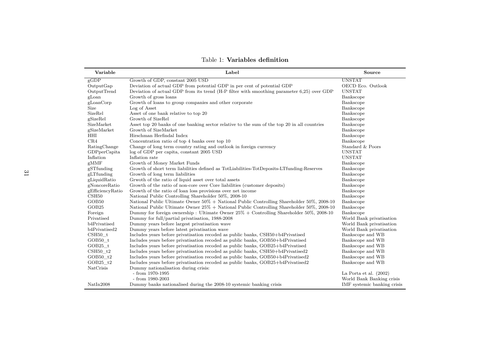<span id="page-32-0"></span>

| Variable                  | Label                                                                                       | Source                      |
|---------------------------|---------------------------------------------------------------------------------------------|-----------------------------|
| gGDP                      | Growth of GDP, constant 2005 USD                                                            | <b>UNSTAT</b>               |
| OutputGap                 | Deviation of actual GDP from potential GDP in per cent of potential GDP                     | OECD Eco. Outlook           |
| OutputTrend               | Deviation of actual GDP from its trend (H-P filter with smoothing parameter 6,25) over GDP  | <b>UNSTAT</b>               |
| gLoan                     | Growth of gross loans                                                                       | Bankscope                   |
| gLoanCorp                 | Growth of loans to group companies and other corporate                                      | Bankscope                   |
| Size                      | Log of Asset                                                                                | Bankscope                   |
| SizeRel                   | Asset of one bank relative to top 20                                                        | Bankscope                   |
| gSizeRel                  | Growth of SizeRel                                                                           | Bankscope                   |
| SizeMarket                | Asset top 20 banks of one banking sector relative to the sum of the top 20 in all countries | Bankscope                   |
| gSizeMarket               | Growth of SizeMarket                                                                        | Bankscope                   |
| HHI                       | Hirschman Herfindal Index                                                                   | Bankscope                   |
| CR4                       | Concentration ratio of top 4 banks over top 10                                              | Bankscope                   |
| RatingChange              | Change of long term country rating and outlook in foreign currency                          | Standard & Poors            |
| GDPperCapita              | log of GDP per capita, constant 2005 USD                                                    | <b>UNSTAT</b>               |
| Inflation                 | Inflation rate                                                                              | <b>UNSTAT</b>               |
| gMMF                      | Growth of Money Market Funds                                                                | Bankscope                   |
| gSTfunding                | Growth of short term liabilities defined as TotLiabilities-TotDeposits-LTfunding-Reserves   | Bankscope                   |
| gLTfunding                | Growth of long term liabilities                                                             | Bankscope                   |
| gLiquidRatio              | Grwoth of the ratio of liquid asset over total assets                                       | Bankscope                   |
| gNoncoreRatio             | Growth of the ratio of non-core over Core liabilities (customer deposits)                   | Bankscope                   |
| gEfficiencyRatio          | Growth of the ratio of loan loss provisions over net income                                 | Bankscope                   |
| $\text{CSH}50$            | National Public Controlling Shareholder 50%, 2008-10                                        | Bankscope                   |
| GOB <sub>50</sub>         | National Public Ultimate Owner 50% + National Public Controlling Shareholder 50%, 2008-10   | Bankscope                   |
| GOB <sub>25</sub>         | National Public Ultimate Owner 25% + National Public Controlling Shareholder 50%, 2008-10   | Bankscope                   |
| Foreign                   | Dummy for foreign ownership : Ultimate Owner $25\%$ + Controlling Shareholder 50%, 2008-10  | Bankscope                   |
| Privatised                | Dummy for full/partial privatisation, 1988-2008                                             | World Bank privatisation    |
| b4Privatised              | Dummy years before largest privatisation wave                                               | World Bank privatisation    |
| b4Privatised2             | Dummy years before latest privatisation wave                                                | World Bank privatisation    |
| $\text{CSH50 t}$          | Includes years before privatisation recoded as public banks, CSH50+b4Privatised             | Bankscope and WB            |
| GOB50 t                   | Includes years before privatisation recoded as public banks, GOB50+b4Privatised             | Bankscope and WB            |
| $GOB25$ t                 | Includes years before privatisation recoded as public banks, GOB25+b4Privatised             | Bankscope and WB            |
| $\text{CSH50}\_\text{t2}$ | Includes years before privatisation recoded as public banks, CSH50+b4Privatised2            | Bankscope and WB            |
| $GOB50$ t <sub>2</sub>    | Includes years before privatisation recoded as public banks, GOB50+b4Privatised2            | Bankscope and WB            |
| $GOB25$ t2                | Includes years before privatisation recoded as public banks, GOB25+b4Privatised2            | Bankscope and WB            |
| NatCrisis                 | Dummy nationalisation during crisis:                                                        |                             |
|                           | - from 1970-1995                                                                            | La Porta et al. $(2002)$    |
|                           | - from 1980-2003                                                                            | World Bank Banking crisis   |
| NatIn2008                 | Dummy banks nationalised during the 2008-10 systemic banking crisis                         | IMF systemic banking crisis |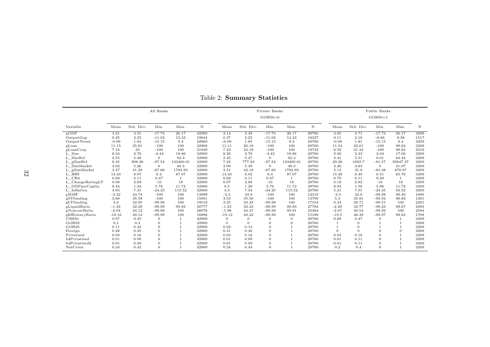| All Banks         |          |           |                |              |       |              | Private Banks |                |           |       |                | Public Banks   |                |          |      |  |
|-------------------|----------|-----------|----------------|--------------|-------|--------------|---------------|----------------|-----------|-------|----------------|----------------|----------------|----------|------|--|
|                   |          |           |                |              |       |              | $GOB50=0$     |                |           |       |                |                | $GOB50=1$      |          |      |  |
| Variable          | Mean     | Std. Dev. | Min.           | Max.         | N     | Mean         | Std. Dev.     | Min.           | Max.      | N     | Mean           | Std. Dev.      | Min.           | Max.     | N    |  |
| $gG\overline{DP}$ | 3.21     | 3.51      | $-17.73$       | 26.17        | 32969 | 3.14         | 3.48          | $-17.73$       | 26.17     | 29760 | 3.85           | 3.71           | $-17.73$       | 26.17    | 3209 |  |
| OutputGap         | 0.35     | 2.25      | $-11.02$       | 13.33        | 19844 | 0.37         | 2.25          | $-11.02$       | 13.33     | 18327 | 0.11           | 2.18           | $-8.66$        | 8.38     | 1517 |  |
| OutputTrend       | $-0.09$  | 1.84      | $-15.15$       | 9.4          | 32969 | $-0.09$      | 1.85          | $-15.15$       | 9.4       | 29760 | $-0.08$        | 1.81           | $-15.15$       | 9.4      | 3209 |  |
| gLoan             | 11.15    | 25.81     | $-100$         | 100          | 32969 | 11.11        | 26.18         | $-100$         | 100       | 29760 | 11.54          | 22.01          | $-100$         | 99.63    | 3209 |  |
| gLoanCorp         | 7.16     | 33        | $-100$         | 100          | 21949 | 7.23         | 33.18         | $-100$         | 100       | 19733 | 6.59           | 31.33          | $-100$         | 99.83    | 2216 |  |
| L Size            | 8.34     | 2.76      | $-4.43$        | 18.86        | 32969 | 8.26         | 2.78          | $-4.43$        | 18.86     | 29760 | 9.06           | 2.43           | 2.04           | 17.06    | 3209 |  |
| L SizeRel         | 2.55     | 5.48      | $\overline{0}$ | 92.3         | 32969 | 2.45         | 5.47          | $\overline{0}$ | 92.3      | 29760 | 3.41           | 5.51           | 0.01           | 64.43    | 3209 |  |
| L_gSizeRel        | 9.45     | 908.36    | $-97.54$       | 133400.91    | 32969 | 7.32         | 777.93        | $-97.54$       | 133400.91 | 29760 | 29.26          | 1692.7         | $-91.57$       | 95847.37 | 3209 |  |
| L SizeMarket      | 3.02     | 5.26      | $\Omega$       | 48.3         | 32969 | 3.09         | 5.39          | $\theta$       | 48.3      | 29760 | 2.36           | 3.83           | $\overline{0}$ | 41.07    | 3209 |  |
| L gSizeMarket     | 3.47     | 41.29     | $-87.60$       | 1782.93      | 32969 | 3.51         | 42.18         | $-87.60$       | 1782.93   | 29760 | 3.12           | 31.8           | $-81.48$       | 878.97   | 3209 |  |
| L HHI             | 14.43    | 8.07      | 6.4            | 87.07        | 32969 | 14.33        | 8.02          | 6.4            | 87.07     | 29760 | 15.38          | 8.49           | 6.51           | 65.76    | 3209 |  |
| L CR4             | 0.69     | 0.11      | 0.47           | -1           | 32969 | 0.69         | 0.11          | 0.47           |           | 29760 | 0.70           | 0.11           | 0.49           | 1        | 3209 |  |
| L ChangeRatingLT  | 0.08     | 2.69      | $-31$          | 18           | 32969 | 0.07         | 2.68          | $-31$          | 18        | 29760 | 0.19           | 2.82           | $-31$          | 18       | 3209 |  |
| L GDPperCapita    | 9.44     | 1.33      | 5.76           | 11.72        | 32969 | 9.5          | 1.29          | 5.76           | 11.72     | 29760 | 8.93           | 1.56           | 5.98           | 11.72    | 3209 |  |
| L Inflation       | 4.93     | 7.31      | $-24.25$       | 115.52       | 32969 | 4.9          | 7.34          | $-24.25$       | 115.52    | 29760 | 5.21           | 7.01           | $-24.25$       | 93.52    | 3209 |  |
| gMMF              | $-3.32$  | 43.74     | $-100$         | 100          | 13999 | $-3.3$       | 43.9          | $-100$         | 100       | 12319 | $-3.5$         | 42.6           | $-99.98$       | 99.40    | 1680 |  |
| gSTfunding        | 3.68     | 35.58     | $-100$         | 100          | 15001 | 3.53         | 35.56         | $-100$         | 100       | 13700 | 5.3            | 35.81          | $-99.93$       | 98.82    | 1301 |  |
| gLTfunding        | 3.6      | 32.95     | $-99.99$       | 100          | 19519 | 3.25         | 33.43         | $-99.99$       | 100       | 17318 | 6.34           | 28.71          | $-99.51$       | 100      | 2201 |  |
| gLiquidRatio      | $-1.33$  | 32.29     | $-99.99$       | 99.83        | 30777 | $-1.23$      | 32.23         | $-99.99$       | 99.83     | 27794 | $-2.29$        | 32.77          | $-99.23$       | 99.67    | 2983 |  |
| gNoncoreRatio     | $-2.04$  | 34.12     | $-99.99$       | 100          | 28078 | $-1.98$      | 34.47         | $-99.99$       | 99.91     | 25494 | $-2.67$        | 30.54          | $-99.92$       | 100      | 2584 |  |
| gEfficiencyRatio  | $-19.16$ | 49.14     | $-99.99$       | 100          | 16896 | $-19.12$     | 49.22         | $-99.99$       | 100       | 15188 | $-19.5$        | 48.39          | $-99.97$       | 99.83    | 1708 |  |
| $\text{CSH}50$    | 0.07     | 0.25      | $\theta$       | $\mathbf{1}$ | 32969 | $\mathbf{0}$ | $\theta$      | $\theta$       | $\Omega$  | 29760 | 0.68           | 0.47           | $\mathbf{0}$   | -1       | 3209 |  |
| GOB <sub>50</sub> | 0.1      | 0.3       | $\theta$       |              | 32969 | $\Omega$     | $\Omega$      | $\overline{0}$ | $\Omega$  | 29760 | 1              | $\mathbf{0}$   |                |          | 3209 |  |
| GOB <sub>25</sub> | 0.11     | 0.32      | $\theta$       |              | 32969 | 0.02         | 0.13          | $\overline{0}$ |           | 29760 | $\mathbf{1}$   | $\overline{0}$ |                |          | 3209 |  |
| Foreign           | 0.28     | 0.45      | $\theta$       |              | 32969 | 0.31         | 0.46          | $\overline{0}$ |           | 29760 | $\overline{0}$ | $\Omega$       |                | $\Omega$ | 3209 |  |
| Privatised        | 0.03     | 0.16      | $\Omega$       |              | 32969 | 0.03         | 0.16          | $\Omega$       |           | 29760 | 0.03           | 0.16           | $\Omega$       |          | 3209 |  |
| b4Privatised      | 0.01     | 0.09      | $\Omega$       |              | 32969 | 0.01         | 0.09          | $\Omega$       |           | 29760 | 0.01           | 0.11           | $\Omega$       |          | 3209 |  |
| b4Privatised2     | 0.01     | 0.09      | $\Omega$       |              | 32969 | 0.01         | 0.09          | $\overline{0}$ |           | 29760 | 0.01           | 0.11           |                |          | 3209 |  |
| NatCrisis         | 0.24     | 0.42      | $\Omega$       |              | 32969 | 0.24         | 0.43          | $\Omega$       |           | 29760 | 0.2            | 0.4            | $\Omega$       |          | 3209 |  |

<span id="page-33-0"></span>Table 2: **Summary Statistics**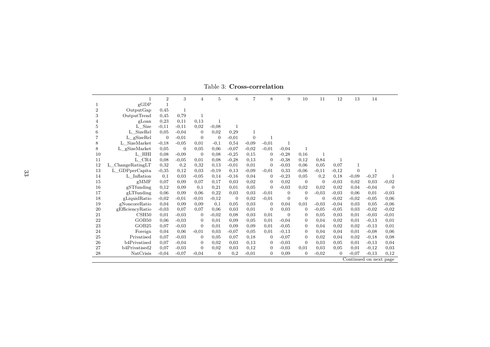|                 | $\mathbf{1}$      | $\overline{2}$ | 3              | 4            | $\overline{5}$ | $6\phantom{.}6$ | $\overline{7}$ | 8                | 9            | 10               | 11       | 12             | 13                     | 14      |             |
|-----------------|-------------------|----------------|----------------|--------------|----------------|-----------------|----------------|------------------|--------------|------------------|----------|----------------|------------------------|---------|-------------|
| 1               | gGDP              | 1              |                |              |                |                 |                |                  |              |                  |          |                |                        |         |             |
| $\,2$           | OutputGap         | 0,45           | $\mathbf{1}$   |              |                |                 |                |                  |              |                  |          |                |                        |         |             |
| 3               | OutputTrend       | 0,45           | 0,79           | 1            |                |                 |                |                  |              |                  |          |                |                        |         |             |
| 4               | gLoan             | 0,23           | 0,11           | 0,13         | 1              |                 |                |                  |              |                  |          |                |                        |         |             |
| 5               | L Size            | $-0,11$        | $-0,11$        | 0,02         | $-0.08$        | 1               |                |                  |              |                  |          |                |                        |         |             |
| $6\phantom{.}6$ | L SizeRel         | 0,05           | $-0,04$        | $\theta$     | 0.02           | 0,29            | $\mathbf{1}$   |                  |              |                  |          |                |                        |         |             |
| $\overline{7}$  | L gSizeRel        | $\overline{0}$ | $-0,01$        | $\theta$     | $\theta$       | $-0,01$         | $\theta$       |                  |              |                  |          |                |                        |         |             |
| 8               | L SizeMarket      | $-0.18$        | $-0,05$        | 0.01         | $-0,1$         | 0.54            | $-0.09$        | $-0.01$          | $\mathbf{1}$ |                  |          |                |                        |         |             |
| 8               | L_gSizeMarket     | 0.05           | $\overline{0}$ | 0.05         | 0.06           | $-0.07$         | $-0.02$        | $-0,01$          | $-0.04$      | 1                |          |                |                        |         |             |
| 10              | L HHI             | 0.08           | $-0,09$        | $\theta$     | 0,08           | $-0.25$         | 0.15           | $\overline{0}$   | $-0,28$      | 0.16             | 1        |                |                        |         |             |
| 11              | L CR4             | 0.08           | $-0,05$        | 0.01         | 0.08           | $-0.28$         | 0,13           | $\mathbf{0}$     | $-0,38$      | 0.12             | 0,84     | 1              |                        |         |             |
| 12              | L ChangeRatingLT  | 0.32           | 0,2            | 0,32         | 0,13           | $-0,01$         | 0,01           | $\overline{0}$   | $-0,03$      | 0.06             | 0.05     | 0.07           | 1                      |         |             |
| 13              | L GDPperCapita    | $-0,35$        | 0,12           | 0.03         | $-0.19$        | 0.13            | $-0,09$        | $-0.01$          | 0,33         | $-0.06$          | $-0,11$  | $-0,12$        | $\theta$               | 1       |             |
| 14              | L Inflation       | 0,1            | 0,03           | $-0.05$      | 0,14           | $-0,16$         | 0.04           | $\mathbf{0}$     | $-0,23$      | 0.05             | $_{0,2}$ | 0,18           | $-0,09$                | $-0,37$ | 1           |
| 15              | gMMF              | 0,07           | 0,09           | 0,07         | 0,17           | 0,03            | 0,02           | $\mathbf{0}$     | 0,02         | $\theta$         | $\Omega$ | $-0,03$        | 0,02                   | 0,03    | $-0,02$     |
| 16              | gSTfunding        | 0.12           | 0.09           | 0,1          | 0.21           | 0.01            | 0.05           | $\boldsymbol{0}$ | $-0.03$      | 0,02             | 0,02     | 0.02           | 0.04                   | $-0.04$ | $\mathbf 0$ |
| 17              | gLTfunding        | 0,06           | 0,09           | 0,06         | 0,22           | 0,03            | 0,03           | $-0,01$          | $\mathbf{0}$ | $\overline{0}$   | $-0,03$  | $-0.03$        | 0,06                   | 0,01    | $-0.03$     |
| 18              | gLiquidRatio      | $-0,02$        | $-0,01$        | $-0,01$      | $-0,12$        | $\theta$        | 0,02           | $-0,01$          | $\mathbf{0}$ | $\overline{0}$   | $\Omega$ | $-0,02$        | $-0,02$                | $-0.05$ | 0,06        |
| 19              | gNoncoreRatio     | 0,04           | 0,09           | 0,09         | 0,1            | 0,05            | 0,03           | $\overline{0}$   | 0,04         | 0,01             | $-0.03$  | $-0,04$        | 0,03                   | 0,05    | $-0,06$     |
| 20              | gEfficiencyRatio  | $-0.03$        | 0.07           | 0.07         | 0.06           | 0.03            | 0.01           | $\overline{0}$   | 0.03         | $\boldsymbol{0}$ | $-0.05$  | $-0.05$        | 0.03                   | $-0.02$ | $-0,02$     |
| 21              | $\text{CSH}50$    | 0,01           | $-0,03$        | $\mathbf{0}$ | $-0.02$        | 0.08            | 0.03           | 0.01             | $\mathbf{0}$ | $\boldsymbol{0}$ | 0.05     | 0,03           | 0.01                   | $-0,03$ | $-0,01$     |
| 22              | GOB <sub>50</sub> | 0.06           | $-0,03$        | $\mathbf{0}$ | 0.01           | 0.09            | 0.05           | 0.01             | $-0.04$      | $\boldsymbol{0}$ | 0.04     | 0,02           | 0.01                   | $-0,13$ | 0,01        |
| 23              | GOB <sub>25</sub> | 0.07           | $-0,03$        | $\theta$     | 0,01           | 0.09            | 0.09           | 0.01             | $-0,05$      | $\boldsymbol{0}$ | 0.04     | 0.02           | 0.02                   | $-0,13$ | 0,01        |
| 24              | Foreign           | 0.04           | 0,06           | $-0,01$      | 0.03           | $-0.07$         | 0.05           | 0.01             | $-0,13$      | 0                | 0.04     | 0,04           | 0,01                   | $-0,08$ | 0,06        |
| 25              | Privatised        | 0.07           | $-0.03$        | $\mathbf{0}$ | 0,05           | 0.07            | 0.18           | $\mathbf{0}$     | $-0.07$      | $\boldsymbol{0}$ | 0.02     | 0,04           | 0.02                   | $-0,18$ | 0,08        |
| 26              | b4Privatised      | 0,07           | $-0,04$        | $\theta$     | 0,02           | 0,03            | 0,13           | $\mathbf{0}$     | $-0,03$      | $\overline{0}$   | 0,03     | 0,05           | 0,01                   | $-0,13$ | 0,04        |
| 27              | b4Privatised2     | 0.07           | $-0.03$        | $\theta$     | 0,02           | 0,03            | 0,12           | $\boldsymbol{0}$ | $-0,03$      | 0,01             | 0.03     | 0,05           | 0,01                   | $-0,12$ | 0,03        |
| 28              | NatCrisis         | $-0.04$        | $-0,07$        | $-0,04$      | $\overline{0}$ | 0,2             | $-0.01$        | $\mathbf{0}$     | 0.09         | $\overline{0}$   | $-0,02$  | $\overline{0}$ | $-0.07$                | $-0.13$ | 0.12        |
|                 |                   |                |                |              |                |                 |                |                  |              |                  |          |                | Continued on next page |         |             |

<span id="page-34-0"></span>Table 3: **Cross-correlation**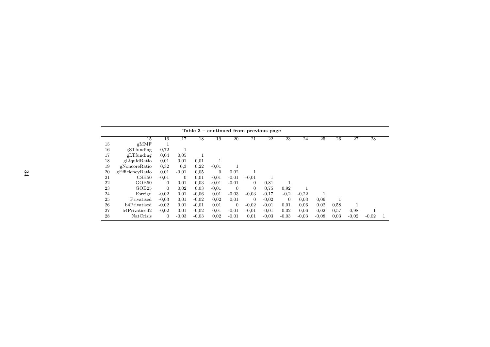| Table $3$ – continued from previous page |                   |          |                |         |                |                |                |         |                |         |         |      |         |         |  |
|------------------------------------------|-------------------|----------|----------------|---------|----------------|----------------|----------------|---------|----------------|---------|---------|------|---------|---------|--|
|                                          | 15                | 16       | 17             | 18      | 19             | 20             | 21             | 22      | 23             | 24      | 25      | 26   | 27      | 28      |  |
| 15                                       | gMMF              |          |                |         |                |                |                |         |                |         |         |      |         |         |  |
| 16                                       | gSTfunding        | 0.72     | 1              |         |                |                |                |         |                |         |         |      |         |         |  |
| 17                                       | gLTfunding        | 0,04     | 0.05           |         |                |                |                |         |                |         |         |      |         |         |  |
| 18                                       | gLiquidRatio      | 0,01     | 0.01           | 0.01    | 1              |                |                |         |                |         |         |      |         |         |  |
| 19                                       | gNoncoreRatio     | 0.32     | 0.3            | 0,22    | $-0.01$        |                |                |         |                |         |         |      |         |         |  |
| 20                                       | gEfficiencyRatio  | 0,01     | $-0.01$        | 0.05    | $\overline{0}$ | 0.02           |                |         |                |         |         |      |         |         |  |
| 21                                       | $\text{CSH}50$    | $-0.01$  | $\overline{0}$ | 0.01    | $-0.01$        | $-0.01$        | $-0.01$        |         |                |         |         |      |         |         |  |
| 22                                       | GOB <sub>50</sub> | $\Omega$ | 0.01           | 0,03    | $-0,01$        | $-0.01$        | $\overline{0}$ | 0,81    |                |         |         |      |         |         |  |
| 23                                       | GOB <sub>25</sub> | $\theta$ | 0.02           | 0.03    | $-0.01$        | $\overline{0}$ | $\overline{0}$ | 0.75    | 0,92           |         |         |      |         |         |  |
| 24                                       | Foreign           | $-0.02$  | 0.01           | $-0.06$ | 0.01           | $-0.03$        | $-0.03$        | $-0.17$ | $-0.2$         | $-0.22$ |         |      |         |         |  |
| 25                                       | Privatised        | $-0.03$  | 0.01           | $-0.02$ | 0.02           | 0.01           | $\overline{0}$ | $-0.02$ | $\overline{0}$ | 0.03    | 0.06    |      |         |         |  |
| 26                                       | b4Privatised      | $-0.02$  | 0.01           | $-0.01$ | 0,01           | $\overline{0}$ | $-0.02$        | $-0.01$ | 0,01           | 0.06    | 0.02    | 0.58 |         |         |  |
| 27                                       | b4Privatised2     | $-0.02$  | 0,01           | $-0.02$ | 0.01           | $-0.01$        | $-0.01$        | $-0.01$ | 0.02           | 0.06    | 0,02    | 0.57 | 0.98    |         |  |
| 28                                       | NatCrisis         | 0        | $-0.03$        | $-0.03$ | 0.02           | $-0.01$        | 0.01           | $-0.03$ | $-0.03$        | $-0.03$ | $-0.08$ | 0.03 | $-0.02$ | $-0.02$ |  |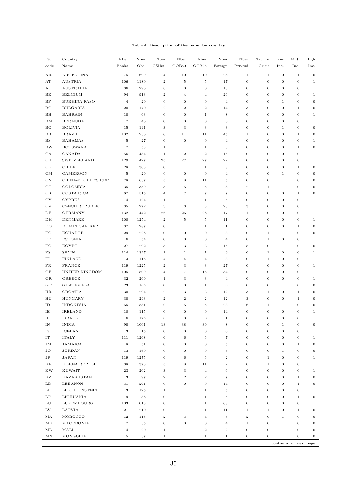#### Table 4: **Description of the panel by country**

<span id="page-36-0"></span>

| ISO                                              | Country                  | Nber              | Nber        | Nber                         | Nber                             | Nber                         | Nber                             | Nber                            | Nat. In                      | Low                                  | Mid.                                   | High                         |
|--------------------------------------------------|--------------------------|-------------------|-------------|------------------------------|----------------------------------|------------------------------|----------------------------------|---------------------------------|------------------------------|--------------------------------------|----------------------------------------|------------------------------|
| code                                             | Name                     | Banks             | Obs.        | CSH50                        | GOB50                            | GOB25                        | Foreign                          | Privtsd                         | Crisis                       | Inc.                                 | Inc.                                   | Inc.                         |
| AR                                               | ARGENTINA                | 75                | 699         | $\overline{4}$               | 10                               | 10                           | $\bf{^{28}}$                     | $\mathbf{1}$                    | $1\,$                        | $\mathbf{0}$                         | $\,1$                                  | $\overline{0}$               |
| $\mathbf{A} \mathbf{T}$                          | AUSTRIA                  | 106               | 1180        | $\sqrt{2}$                   | $\,$ 5                           | $\bf 5$                      | 17                               | $\boldsymbol{0}$                | $\mathbf{0}$                 | $\mathbf{0}$                         | $\mathbf{0}$                           | $\mathbf{1}$                 |
| $\mathrm{AU}$                                    | <b>AUSTRALIA</b>         | 36                | 296         | $\mathbf{0}$                 | $\boldsymbol{0}$                 | $\mathbf{0}$                 | 13                               | $\mathbf{0}$                    | $\mathbf{0}$                 | $\mathbf{0}$                         | $\mathbf{0}$                           | $\mathbf{1}$                 |
| BE                                               | <b>BELGIUM</b>           | 94                | 913         | $\,2\,$                      | $\overline{4}$                   | $\overline{4}$               | 26                               | $\mathbf{0}$                    | $\mathbf{0}$                 | $\mathbf{0}$                         | $\mathbf{0}$                           | $\mathbf{1}$                 |
| BF                                               | <b>BURKINA FASO</b>      | 4                 | $\rm 20$    | $\mathbf{0}$                 | $\boldsymbol{0}$                 | $\boldsymbol{0}$             | $\overline{4}$                   | $\mathbf{0}$                    | $\bf{0}$                     | $\mathbf{1}$                         | $\mathbf{0}$                           | $\mathbf{0}$                 |
| $_{\rm BG}$                                      | BULGARIA                 | 20                | 170         | $\,2\,$                      | $\boldsymbol{2}$                 | $\boldsymbol{2}$             | 14                               | 3                               | $\bf{0}$                     | $\mathbf{0}$                         | $\mathbf{1}$                           | $\mathbf{0}$                 |
| BH                                               | <b>BAHRAIN</b>           | 10                | 63          | $\mathbf{0}$                 | $\boldsymbol{0}$                 | $\,1$                        | $\,$ 8 $\,$                      | $\mathbf{0}$                    | $\mathbf{0}$                 | $\mathbf{0}$                         | $\mathbf{0}$                           | $\mathbf{1}$                 |
| ΒM                                               | <b>BERMUDA</b>           | $\overline{7}$    | 46          | $\mathbf{0}$                 | $\boldsymbol{0}$                 | $\mathbf{0}$                 | $\,6$                            | $\mathbf{0}$                    | $\mathbf{0}$                 | $\mathbf{0}$                         | $\mathbf{0}$                           | $\mathbf{1}$                 |
| BO                                               | <b>BOLIVIA</b>           | 15                | 141         | 3                            | $\sqrt{3}$                       | 3                            | $\,3$                            | $\mathbf{0}$                    | $\bf{0}$                     | $\mathbf{1}$                         | $\mathbf{0}$                           | $\mathbf{0}$                 |
| ΒR                                               | <b>BRAZIL</b>            | 102               | 936         | $\,6\,$                      | 11                               | 11                           | 45                               | $1\,$                           | $\boldsymbol{0}$             | $\mathbf{0}$                         | $1\,$                                  | $\boldsymbol{0}$             |
| $_{\rm BS}$                                      | <b>BAHAMAS</b>           | 5                 | 27          | $\mathbf{0}$                 | $\mathbf{0}$                     | $\mathbf{0}$                 | $\overline{4}$                   | $\mathbf{0}$                    | $\bf{0}$                     | $\mathbf{0}$                         | $\mathbf{0}$                           | $\mathbf{1}$                 |
| $\rm BW$                                         | <b>BOTSWANA</b>          | $\overline{7}$    | 53          | $\mathbf{1}$                 | $1\,$                            | $\,1$                        | $\,3$                            | $\mathbf{0}$                    | $\mathbf{0}$                 | $\mathbf{0}$                         | $\mathbf{1}$                           | $\mathbf{0}$                 |
| CA                                               | CANADA                   | 56                | 484         | $\mathbf{1}$                 | $\overline{2}$                   | $\overline{2}$               | 16                               | $\mathbf{0}$                    | 0                            | $\mathbf{0}$                         | $\mathbf{0}$                           | $\mathbf{1}$                 |
| CH                                               | SWITZERLAND              | 129               | 1427        | $\bf 25$                     | $\bf{27}$                        | 27                           | 22                               | $\mathbf{0}$                    | $\mathbf{0}$                 | $\mathbf{0}$                         | $\mathbf{0}$                           | $\mathbf{1}$                 |
| CL                                               | <b>CHILE</b>             | 28                | 308         | $\mathbf{0}$                 | $\mathbf{1}$                     | $\mathbf{1}$                 | 8                                | $\mathbf{0}$                    | 0                            | $\mathbf{0}$                         | $\mathbf{1}$                           | $\mathbf{0}$                 |
| $\mathrm{CM}% _{0}^{\ast}\times\mathrm{(M}_{0})$ | CAMEROON                 | 5                 | 29          | $\mathbf{0}$                 | $\boldsymbol{0}$                 | $\mathbf{0}$                 | $\,4$                            | $\mathbf{0}$                    | $\mathbf{0}$                 | $\,1\,$                              | $\mathbf{0}$                           | $\mathbf{0}$                 |
| $_{\rm CN}$                                      | CHINA-PEOPLE'S REP.      | 78                | 637         | $5\,$                        | 8                                | 11                           | $\bf 5$                          | 10                              | $\overline{0}$               | $\,1\,$                              | $\mathbf{0}$                           | $\mathbf{0}$                 |
| $_{\rm CO}$<br>CR                                | COLOMBIA<br>COSTA RICA   | 35<br>67          | 359<br>515  | $\bf 5$<br>$\overline{4}$    | $\rm 5$<br>$\overline{7}$        | $\bf 5$<br>$\scriptstyle{7}$ | $\,$ 8 $\,$<br>$\scriptstyle{7}$ | $\,2\,$<br>$\mathbf{0}$         | $\mathbf{1}$<br>$\mathbf{0}$ | $\,1\,$<br>$\mathbf{0}$              | $\mathbf{0}$<br>$\mathbf{1}$           | $\mathbf{0}$<br>$\mathbf{0}$ |
| CY                                               | <b>CYPRUS</b>            | 14                | 124         | $\mathbf{1}$                 | $\mathbf{1}$                     | $\,1$                        | $\,6$                            | $\mathbf{0}$                    | $\mathbf{0}$                 | $\mathbf{0}$                         | $\mathbf{0}$                           | $\mathbf{1}$                 |
| CZ                                               | <b>CZECH REPUBLIC</b>    | 35                | 272         | 3                            | 3                                | 3                            | 23                               | 3                               | $\mathbf{0}$                 | $\mathbf{0}$                         | $\mathbf{0}$                           | $\mathbf{1}$                 |
| $\rm{DE}$                                        | <b>GERMANY</b>           | 132               | 1442        | ${\bf 26}$                   | 26                               | 28                           | $17\,$                           | $\,1$                           | $\bf{0}$                     | $\mathbf{0}$                         | $\mathbf{0}$                           | $\,1$                        |
| DK                                               | DENMARK                  | 108               | 1254        | $\,2\,$                      | $\overline{5}$                   | 5                            | 11                               | $\mathbf{0}$                    | $\bf{0}$                     | $\mathbf{0}$                         | $\mathbf{0}$                           | $\mathbf{1}$                 |
| DO                                               | DOMINICAN REP.           | 37                | 287         | $\mathbf{0}$                 | $1\,$                            | $\,1$                        | $\mathbf{1}$                     | $\mathbf{0}$                    | $\mathbf{0}$                 | $\mathbf{0}$                         | $\,1$                                  | $\mathbf{0}$                 |
| EC                                               | <b>ECUADOR</b>           | 29                | 228         | $\mathbf{0}$                 | $\mathbf{0}$                     | $\boldsymbol{0}$             | 3                                | $\mathbf{0}$                    | $\mathbf{1}$                 | $\mathbf{1}$                         | $\mathbf{0}$                           | $\mathbf{0}$                 |
| EE                                               | <b>ESTONIA</b>           | $\,6\,$           | 54          | $\boldsymbol{0}$             | $\boldsymbol{0}$                 | $\boldsymbol{0}$             | $\overline{4}$                   | $\mathbf{0}$                    | $\,1\,$                      | $\mathbf{0}$                         | $\mathbf{0}$                           | $\mathbf{1}$                 |
| $_{\rm EG}$                                      | EGYPT                    | 27                | 292         | 3                            | 3                                | 3                            | 15                               | 8                               | $\boldsymbol{0}$             | $\,1$                                | $\mathbf{0}$                           | $\boldsymbol{0}$             |
| $_{\rm ES}$                                      | <b>SPAIN</b>             | 114               | 1327        | $\mathbf{1}$                 | 1                                | 1                            | $\boldsymbol{9}$                 | $\mathbf{0}$                    | $\mathbf{1}$                 | $\mathbf{0}$                         | $\mathbf{0}$                           | $\mathbf{1}$                 |
| FI                                               | <b>FINLAND</b>           | 13                | 116         | $\overline{4}$               | $\bf{4}$                         | $\,4$                        | $\,3$                            | $\mathbf{0}$                    | $\mathbf{1}$                 | $\mathbf{0}$                         | $\mathbf{0}$                           | $\mathbf{1}$                 |
| $_{\rm FR}$                                      | FRANCE                   | 119               | 1225        | $\,2\,$                      | $\,3$                            | 3                            | 27                               | $\mathbf{0}$                    | $\boldsymbol{0}$             | $\mathbf{0}$                         | $\mathbf{0}$                           | $\mathbf{1}$                 |
| GB                                               | UNITED KINGDOM           | 105               | 809         | $\overline{4}$               | $\scriptstyle{7}$                | 16                           | 34                               | $\mathbf{0}$                    | $\mathbf{0}$                 | $\mathbf{0}$                         | $\mathbf{0}$                           | $\mathbf{1}$                 |
| $_{\rm GR}$                                      | <b>GREECE</b>            | 32                | 269         | $\mathbf{1}$                 | $\,3$                            | 3                            | $\overline{4}$                   | $\mathbf{0}$                    | 0                            | $\mathbf{0}$                         | $\mathbf{0}$                           | $\mathbf{1}$                 |
| $_{\rm GT}$                                      | <b>GUATEMALA</b>         | 23                | 165         | $\mathbf{0}$                 | $\boldsymbol{0}$                 | $1\,$                        | $\,6$                            | $\mathbf{0}$                    | $\mathbf{0}$                 | $\,1\,$                              | $\mathbf{0}$                           | $\mathbf{0}$                 |
| HR                                               | CROATIA                  | 30                | 294         | $\,2$                        | 3                                | 3                            | $12\,$                           | $\,3$                           | $\mathbf 1$                  | $\mathbf{0}$                         | $\mathbf{1}$                           | $\mathbf{0}$                 |
| ${\rm H}{\rm U}$                                 | HUNGARY                  | 30                | 293         | $\overline{2}$               | $\,2$                            | $\,2$                        | $12\,$                           | $\,3$                           | $\bf{0}$                     | $\mathbf{0}$                         | $\mathbf{1}$                           | $\mathbf{0}$                 |
| ID                                               | <b>INDONESIA</b>         | 65                | 581         | $\mathbf{0}$<br>$\mathbf{0}$ | $\bf 5$                          | $\bf 5$                      | 23                               | $\,$ 6 $\,$                     | $\mathbf 1$                  | $\,1\,$                              | $\mathbf{0}$                           | $\mathbf{0}$                 |
| ΙE<br>IL                                         | <b>IRELAND</b><br>ISRAEL | 18<br>16          | 115<br>175  | $\mathbf{0}$                 | $\boldsymbol{0}$<br>$\mathbf{0}$ | 0<br>$\mathbf{0}$            | 14<br>$\mathbf{1}$               | $\boldsymbol{0}$<br>$\mathbf 0$ | 0<br>$\mathbf{0}$            | $\boldsymbol{0}$<br>$\boldsymbol{0}$ | $\mathbf 0$<br>$\mathbf{0}$            | $\mathbf{1}$<br>$\mathbf{1}$ |
| IN                                               | <b>INDIA</b>             | 90                | 1001        | 13                           | 38                               | $39\,$                       | $\,$ 8 $\,$                      | $\mathbf{0}$                    | $\mathbf{0}$                 | $\,1\,$                              | $\mathbf{0}$                           | $\mathbf{0}$                 |
| IS                                               | <b>ICELAND</b>           | 3                 | 15          | $\,0\,$                      | $\boldsymbol{0}$                 | $\boldsymbol{0}$             | $\mathbf{0}$                     | $\mathbf{0}$                    | 0                            | $\boldsymbol{0}$                     | $\mathbf{0}$                           | $\mathbf{1}$                 |
| $\ensuremath{\mathsf{IT}}$                       | <b>ITALY</b>             | 111               | 1268        | $\,6\,$                      | $\,6\,$                          | $\,6$                        | $\scriptstyle{7}$                | $\mathbf{0}$                    | $\mathbf{0}$                 | $\mathbf{0}$                         | $\mathbf{0}$                           | $\,1$                        |
| JM                                               | JAMAICA                  | $\,$ 8 $\,$       | $5\sqrt{1}$ | $\mathbf{0}$                 | $\boldsymbol{0}$                 | $\boldsymbol{0}$             | $\,$ 5 $\,$                      | $\mathbf{0}$                    | $\mathbf{0}$                 | $\mathbf{0}$                         | $\mathbf{1}$                           | $\mathbf{0}$                 |
| JO                                               | <b>JORDAN</b>            | 13                | 160         | $\boldsymbol{0}$             | $\boldsymbol{0}$                 | $\boldsymbol{0}$             | $\,6$                            | $\mathbf{0}$                    | $\mathbf{0}$                 | $\,1\,$                              | $\mathbf{0}$                           | $\mathbf{0}$                 |
| $_{\rm JP}$                                      | JAPAN                    | 119               | 1275        | 6                            | 6                                | $\,6$                        | $\boldsymbol{2}$                 | $\mathbf{0}$                    | $\mathbf{1}$                 | $\mathbf{0}$                         | $\mathbf{0}$                           | $\mathbf{1}$                 |
| KR                                               | KOREA REP. OF            | 38                | 378         | $\,$ 5                       | $\,8\,$                          | 11                           | $\,2$                            | $\mathbf{0}$                    | $\mathbf{1}$                 | $\mathbf{0}$                         | $\mathbf{0}$                           | $\mathbf{1}$                 |
| $\mathop{\rm KW}$                                | KUWAIT                   | 23                | 202         | $\,3$                        | $\,3$                            | $\overline{4}$               | $\,$ 6 $\,$                      | $\mathbf{0}$                    | $\mathbf{0}$                 | $\boldsymbol{0}$                     | $\mathbf{0}$                           | $\mathbf{1}$                 |
| ΚZ                                               | KAZAKHSTAN               | 13                | 97          | $\,2\,$                      | $\,2\,$                          | $\overline{2}$               | $\overline{7}$                   | $\mathbf{0}$                    | 0                            | $\mathbf{0}$                         | $\mathbf{1}$                           | $\mathbf{0}$                 |
| $_{\rm LB}$                                      | LEBANON                  | 31                | 291         | $\mathbf{0}$                 | $\boldsymbol{0}$                 | $\boldsymbol{0}$             | 14                               | $\mathbf{0}$                    | 0                            | $\mathbf{0}$                         | $\mathbf{1}$                           | $\mathbf{0}$                 |
| $_{\rm LI}$                                      | LIECHTENSTEIN            | 13                | 125         | $\mathbf{1}$                 | $\mathbf{1}$                     | $\mathbf{1}$                 | 5                                | $\mathbf{0}$                    | $\boldsymbol{0}$             | $\mathbf{0}$                         | $\mathbf{0}$                           | $\mathbf{1}$                 |
| LT                                               | LITHUANIA                | $\,9$             | 88          | $\mathbf{0}$                 | $\mathbf{1}$                     | $\,1$                        | $\,$ 5                           | $\mathbf{0}$                    | $\mathbf{0}$                 | $\mathbf{0}$                         | $\mathbf{1}$                           | $\mathbf{0}$                 |
| LU                                               | LUXEMBOURG               | 103               | 1013        | $\mathbf{0}$                 | $\mathbf{1}$                     | $\mathbf{1}$                 | 68                               | $\mathbf{0}$                    | $\mathbf{0}$                 | $\mathbf{0}$                         | $\mathbf{0}$                           | $\mathbf{1}$                 |
| $L_{\rm V}$                                      | LATVIA                   | 21                | 210         | $\boldsymbol{0}$             | $\mathbf{1}$                     | $1\,$                        | 11                               | $\mathbf{1}$                    | $\mathbf{1}$                 | $\boldsymbol{0}$                     | $\mathbf{1}$                           | $\mathbf{0}$                 |
| МA                                               | MOROCCO                  | $12\,$            | 118         | $\boldsymbol{2}$             | $\sqrt{3}$                       | $\overline{4}$               | 5                                | $\,2$                           | $\mathbf{0}$                 | $\,1\,$                              | $\mathbf{0}$                           | $\mathbf{0}$                 |
| МK                                               | MACEDONIA                | $\scriptstyle{7}$ | $35\,$      | $\mathbf{0}$                 | $\boldsymbol{0}$                 | $\mathbf{0}$                 | $\overline{4}$                   | $\mathbf{1}$                    | $\mathbf{0}$                 | $\,1\,$                              | $\mathbf{0}$                           | $\mathbf{0}$                 |
| ML                                               | MALI                     | 4                 | 20          | $\mathbf{1}$                 | $\mathbf{1}$                     | $\boldsymbol{2}$             | $\boldsymbol{2}$                 | $\mathbf{0}$                    | $\mathbf{0}$                 | $\,1\,$                              | $\mathbf{0}$                           | $\mathbf{0}$                 |
| ΜN                                               | MONGOLIA                 | 5                 | 37          | $\mathbf{1}$                 | $1\,$                            | $\mathbf{1}$                 | $\,1$                            | $\boldsymbol{0}$                | 0                            | $\mathbf{1}$                         | $\mathbf{0}$<br>Continued on next page | $\mathbf{0}$                 |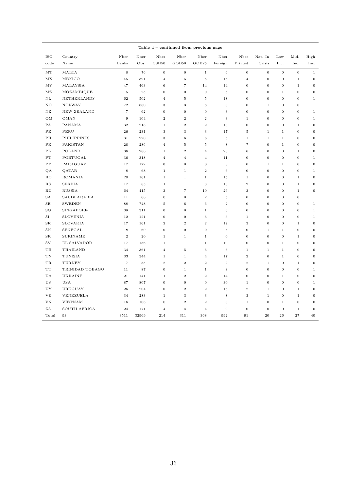|                          | Table $4$ – continued from previous page |                |        |                  |                  |                  |                  |                   |                  |                  |                  |                  |
|--------------------------|------------------------------------------|----------------|--------|------------------|------------------|------------------|------------------|-------------------|------------------|------------------|------------------|------------------|
| ISO                      | Country                                  | Nber           | Nber   | Nber             | Nber             | Nber             | Nber             | Nber              | Nat. In          | Low              | Mid.             | High             |
| code                     | Name                                     | Banks          | Obs.   | CSH50            | GOB50            | GOB25            | Foreign          | Privtsd           | Crisis           | Inc.             | Inc.             | Inc.             |
| MT                       | MALTA                                    | 8              | 76     | $\mathbf{0}$     | $\mathbf{0}$     | $\,1\,$          | $\,6\,$          | $\overline{0}$    | $\mathbf{0}$     | $\overline{0}$   | $\overline{0}$   | $\,1\,$          |
| MX                       | MEXICO                                   | 45             | 391    | $\overline{4}$   | $\rm 5$          | $\bf 5$          | 15               | $\overline{4}$    | $\mathbf{0}$     | $\mathbf{0}$     | $\mathbf{1}$     | $\boldsymbol{0}$ |
| MY                       | MALAYSIA                                 | 47             | 463    | 6                | $\overline{7}$   | 14               | 14               | $\mathbf{0}$      | $\mathbf{0}$     | $\boldsymbol{0}$ | $\mathbf{1}$     | $\boldsymbol{0}$ |
| $_{\rm MZ}$              | MOZAMBIQUE                               | $\sqrt{5}$     | 25     | $\mathbf{0}$     | $\mathbf{0}$     | $\boldsymbol{0}$ | $\,$ 5           | $\overline{0}$    | $\mathbf{0}$     | $\mathbf{1}$     | $\mathbf{0}$     | $\mathbf 0$      |
| NL                       | NETHERLANDS                              | 62             | 502    | $\overline{4}$   | $\overline{5}$   | 5                | 18               | $\boldsymbol{0}$  | $\,0\,$          | $\boldsymbol{0}$ | $\boldsymbol{0}$ | $\,1\,$          |
| NO                       | <b>NORWAY</b>                            | 72             | 680    | 3                | 3                | 8                | $\,3$            | $\mathbf{0}$      | $\,1$            | $\mathbf{0}$     | $\mathbf 0$      | $\mathbf 1$      |
| $_{\rm NZ}$              | NEW ZEALAND                              | $\overline{7}$ | 62     | $\boldsymbol{0}$ | $\boldsymbol{0}$ | $\boldsymbol{0}$ | $\,3$            | $\boldsymbol{0}$  | $\mathbf{0}$     | $\boldsymbol{0}$ | $\mathbf 0$      | $\mathbf 1$      |
| OM                       | <b>OMAN</b>                              | $\overline{9}$ | 104    | $\,2\,$          | $\boldsymbol{2}$ | $\boldsymbol{2}$ | 3                | $\,1\,$           | $\boldsymbol{0}$ | $\boldsymbol{0}$ | $\mathbf 0$      | $\,1$            |
| PA                       | PANAMA                                   | 32             | 213    | $\,1$            | $\boldsymbol{2}$ | $\overline{2}$   | 13               | $\mathbf 0$       | $\mathbf{0}$     | $\boldsymbol{0}$ | $\,1$            | $\mathbf{0}$     |
| $\rm PE$                 | PERU                                     | 26             | 231    | 3                | 3                | 3                | 17               | 5                 | $\mathbf{1}$     | $\mathbf{1}$     | $\overline{0}$   | $\boldsymbol{0}$ |
| PH                       | PHILIPPINES                              | $3\sqrt{1}$    | 220    | $\,3$            | 6                | $\,$ 6 $\,$      | $\,$ 5           | $\,1\,$           | $\mathbf{1}$     | $1\,$            | $\mathbf 0$      | $\boldsymbol{0}$ |
| $\rm PK$                 | PAKISTAN                                 | $\bf 28$       | 286    | $\overline{4}$   | $\overline{5}$   | $\rm 5$          | $\,$ 8 $\,$      | $\scriptstyle{7}$ | $\,0\,$          | $\mathbf{1}$     | $\boldsymbol{0}$ | $\boldsymbol{0}$ |
| PL                       | POLAND                                   | 36             | 286    | $\mathbf{1}$     | $\,2\,$          | $\overline{4}$   | 23               | $\,$ 6 $\,$       | $\mathbf{0}$     | $\mathbf{0}$     | $\mathbf{1}$     | $\mathbf{0}$     |
| $\rm PT$                 | PORTUGAL                                 | 36             | 318    | $\overline{4}$   | $\overline{4}$   | $\overline{4}$   | 11               | $\mathbf{0}$      | $\mathbf{0}$     | $\mathbf{0}$     | $\mathbf 0$      | $\,1$            |
| ${\rm PY}$               | PARAGUAY                                 | 17             | 172    | $\,0\,$          | $\boldsymbol{0}$ | $\boldsymbol{0}$ | $\,$ 8 $\,$      | $\boldsymbol{0}$  | $\mathbf{1}$     | $\mathbf{1}$     | $\overline{0}$   | $\boldsymbol{0}$ |
| QA                       | QATAR                                    | $\,$ 8 $\,$    | 68     | $\,1\,$          | $\,1\,$          | $\overline{2}$   | $\,$ 6 $\,$      | $\mathbf{0}$      | $\mathbf{0}$     | $\boldsymbol{0}$ | $\mathbf 0$      | $\mathbf 1$      |
| RO                       | ROMANIA                                  | 20             | 161    | $\mathbf{1}$     | $\mathbf{1}$     | $\,1$            | 15               | $\mathbf{1}$      | $\boldsymbol{0}$ | $\boldsymbol{0}$ | $\mathbf{1}$     | $\boldsymbol{0}$ |
| RS                       | <b>SERBIA</b>                            | 17             | 85     | $\mathbf{1}$     | $\mathbf{1}$     | 3                | 13               | $\overline{2}$    | $\overline{0}$   | $\mathbf{0}$     | $\mathbf{1}$     | $\boldsymbol{0}$ |
| $\mathbf{RU}$            | <b>RUSSIA</b>                            | 64             | 415    | $\,3$            | $\overline{7}$   | 10               | ${\bf 26}$       | 3                 | $\mathbf{0}$     | $\mathbf{0}$     | $\,1$            | $\boldsymbol{0}$ |
| SA                       | <b>SAUDI ARABIA</b>                      | 11             | 66     | $\mathbf{0}$     | $\mathbf{0}$     | $\boldsymbol{2}$ | 5                | $\mathbf{0}$      | $\mathbf{0}$     | $\mathbf{0}$     | 0                | $\mathbf{1}$     |
| $\rm SE$                 | <b>SWEDEN</b>                            | 88             | 748    | $\bf 5$          | $\,6\,$          | $\,$ 6 $\,$      | $\,2\,$          | $\mathbf 0$       | $\mathbf{0}$     | $\boldsymbol{0}$ | $\mathbf{0}$     | $\mathbf 1$      |
| $_{\rm SG}$              | SINGAPORE                                | 38             | 311    | $\boldsymbol{0}$ | $\mathbf{0}$     | $\,1$            | $\,6$            | $\overline{0}$    | $\mathbf{0}$     | $\mathbf{0}$     | $\mathbf{0}$     | $\mathbf 1$      |
| SI                       | <b>SLOVENIA</b>                          | 12             | 121    | $\mathbf 0$      | $\mathbf{0}$     | 6                | 3                | $\,1\,$           | $\mathbf{0}$     | $\mathbf{0}$     | 0                | $\,1$            |
| $_{\rm SK}$              | SLOVAKIA                                 | 17             | 161    | $\,2\,$          | $\boldsymbol{2}$ | $\boldsymbol{2}$ | 12               | 3                 | $\mathbf{0}$     | $\boldsymbol{0}$ | $\mathbf{1}$     | $\mathbf{0}$     |
| ${\rm SN}$               | SENEGAL                                  | 8              | 60     | $\mathbf{0}$     | $\mathbf{0}$     | $\mathbf 0$      | 5                | $\overline{0}$    | $\mathbf{1}$     | $\mathbf{1}$     | $\overline{0}$   | $\mathbf{0}$     |
| $_{\rm SR}$              | <b>SURINAME</b>                          | $\,2\,$        | $20\,$ | $\,1$            | $\,1\,$          | $\,1\,$          | $\boldsymbol{0}$ | $\mathbf{0}$      | $\boldsymbol{0}$ | $\boldsymbol{0}$ | $\,1$            | $\boldsymbol{0}$ |
| $\mathrm{SV}$            | EL SALVADOR                              | 17             | 156    | $\,1$            | $\mathbf{1}$     | $\,1$            | 10               | $\mathbf{0}$      | $\mathbf{0}$     | $\mathbf{1}$     | $\mathbf 0$      | $\boldsymbol{0}$ |
| $\operatorname{TH}$      | THAILAND                                 | 34             | 361    | $\overline{4}$   | $\rm 5$          | $\,$ 6 $\,$      | $\,6\,$          | $\,1\,$           | $\mathbf{1}$     | $\,1$            | $\boldsymbol{0}$ | $\mathbf 0$      |
| $\mathcal{T}\mathcal{N}$ | TUNISIA                                  | 33             | 344    | $\,1$            | $\,1\,$          | $\overline{4}$   | $17\,$           | $\overline{2}$    | $\boldsymbol{0}$ | $\,1$            | $\mathbf{0}$     | $\boldsymbol{0}$ |
| TR                       | TURKEY                                   | $\overline{7}$ | 55     | $\,2\,$          | $\boldsymbol{2}$ | $\mathbf{2}$     | $\,2\,$          | $\overline{2}$    | $\mathbf{1}$     | $\mathbf{0}$     | $\mathbf{1}$     | $\mathbf{0}$     |
| $\operatorname{TT}$      | TRINIDAD TOBAGO                          | 11             | 87     | $\mathbf 0$      | $\mathbf{1}$     | $\,1$            | $\,8\,$          | $\overline{0}$    | $\mathbf{0}$     | $\mathbf{0}$     | $\mathbf{0}$     | $\,1$            |
| UA                       | UKRAINE                                  | 21             | 141    | $\,1$            | $\overline{2}$   | $\,2$            | 14               | $\boldsymbol{0}$  | $\mathbf{0}$     | $\mathbf{1}$     | $\boldsymbol{0}$ | $\boldsymbol{0}$ |
| $_{\rm US}$              | <b>USA</b>                               | 87             | 807    | $\mathbf{0}$     | $\mathbf{0}$     | $\mathbf{0}$     | 30               | $1\,$             | $\mathbf{0}$     | $\mathbf{0}$     | $\boldsymbol{0}$ | $\,1\,$          |
| $_{\rm UV}$              | URUGUAY                                  | 26             | 204    | $\mathbf{0}$     | $\boldsymbol{2}$ | $\boldsymbol{2}$ | 16               | $\overline{2}$    | $\mathbf{1}$     | $\mathbf{0}$     | $\,1\,$          | $\boldsymbol{0}$ |
| VE                       | VENEZUELA                                | 34             | 283    | $\mathbf{1}$     | $\sqrt{3}$       | 3                | 8                | 3                 | $\mathbf{1}$     | $\boldsymbol{0}$ | $\,1$            | $\boldsymbol{0}$ |
| ${\rm VN}$               | <b>VIETNAM</b>                           | 16             | 106    | $\mathbf{0}$     | $\boldsymbol{2}$ | $\,2$            | $\,3$            | $\,1\,$           | $\mathbf{0}$     | $\mathbf{1}$     | $\mathbf{0}$     | $\mathbf{0}$     |
| ZA                       | SOUTH AFRICA                             | 24             | 171    | $\,4\,$          | $\overline{4}$   | $\,4$            | $\boldsymbol{9}$ | $\boldsymbol{0}$  | $\,0\,$          | $\boldsymbol{0}$ | $\,1$            | $\boldsymbol{0}$ |
| Total                    | 93                                       | 3511           | 32969  | 214              | 311              | 368              | 992              | 91                | 20               | 26               | 27               | 40               |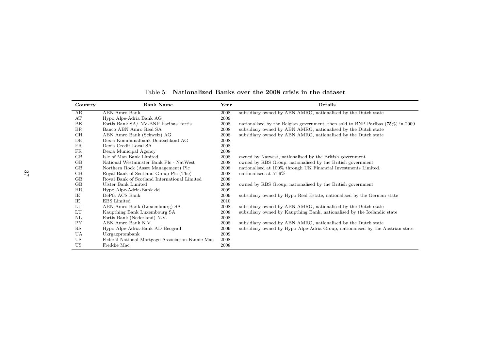| Country   | <b>Bank Name</b>                                 | Year | Details                                                                        |
|-----------|--------------------------------------------------|------|--------------------------------------------------------------------------------|
| AR        | ABN Amro Bank                                    | 2008 | subsidiary owned by ABN AMRO, nationalised by the Dutch state                  |
| AT        | Hypo Alpe-Adria Bank AG                          | 2009 |                                                                                |
| ΒE        | Fortis Bank SA/ NV-BNP Paribas Fortis            | 2008 | nationalised by the Belgian government, then sold to BNP Paribas (75%) in 2009 |
| BR        | Banco ABN Amro Real SA                           | 2008 | subsidiary owned by ABN AMRO, nationalised by the Dutch state                  |
| CН        | ABN Amro Bank (Schweiz) AG                       | 2008 | subsidiary owned by ABN AMRO, nationalised by the Dutch state                  |
| DE        | Dexia Kommunalbank Deutschland AG                | 2008 |                                                                                |
| FR        | Dexia Credit Local SA                            | 2008 |                                                                                |
| FR        | Dexia Municipal Agency                           | 2008 |                                                                                |
| GB        | Isle of Man Bank Limited                         | 2008 | owned by Natwest, nationalised by the British government                       |
| GB        | National Westminster Bank Plc - NatWest          | 2008 | owned by RBS Group, nationalised by the British government                     |
| GB        | Northern Rock (Asset Management) Plc             | 2008 | nationalised at 100% through UK Financial Investments Limited.                 |
| GB        | Royal Bank of Scotland Group Plc (The)           | 2008 | nationalised at 57,9%                                                          |
| GB        | Royal Bank of Scotland International Limited     | 2008 |                                                                                |
| GB        | Ulster Bank Limited                              | 2008 | owned by RBS Group, nationalised by the British government                     |
| HR        | Hypo Alpe-Adria-Bank dd                          | 2009 |                                                                                |
| ΙE        | DePfa ACS Bank                                   | 2009 | subsidiary owned by Hypo Real Estate, nationalised by the German state         |
| ΙE        | <b>EBS</b> Limited                               | 2010 |                                                                                |
| LU        | ABN Amro Bank (Luxembourg) SA                    | 2008 | subsidiary owned by ABN AMRO, nationalised by the Dutch state                  |
| LU        | Kaupthing Bank Luxembourg SA                     | 2008 | subsidiary owned by Kaupthing Bank, nationalised by the Icelandic state        |
| $\rm NL$  | Fortis Bank (Nederland) N.V.                     | 2008 |                                                                                |
| PY        | ABN Amro Bank N.V.                               | 2008 | subsidiary owned by ABN AMRO, nationalised by the Dutch state                  |
| RS        | Hypo Alpe-Adria-Bank AD Beograd                  | 2009 | subsidiary owned by Hypo Alpe-Adria Group, nationalised by the Austrian state  |
| UA        | Ukrgazprombank                                   | 2009 |                                                                                |
| <b>US</b> | Federal National Mortgage Association-Fannie Mae | 2008 |                                                                                |
| US        | Freddie Mac                                      | 2008 |                                                                                |

<span id="page-38-0"></span>Table 5: **Nationalized Banks over the <sup>2008</sup> crisis in the dataset**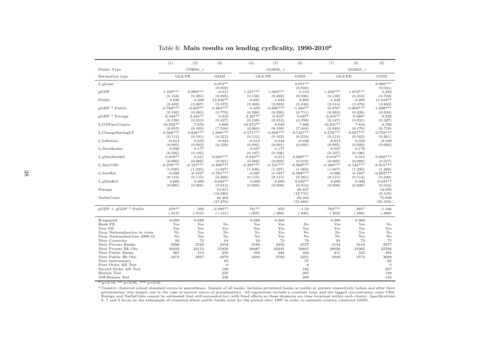|                                                                                                                                                                                                                | (1)                                                                   | (2)                                                                     | (3)                                                         | (4)                                                                   | (5)                                                                     | (6)                                                         | (7)                                                                   | (8)                                                                     | (9)                                                                     |
|----------------------------------------------------------------------------------------------------------------------------------------------------------------------------------------------------------------|-----------------------------------------------------------------------|-------------------------------------------------------------------------|-------------------------------------------------------------|-----------------------------------------------------------------------|-------------------------------------------------------------------------|-------------------------------------------------------------|-----------------------------------------------------------------------|-------------------------------------------------------------------------|-------------------------------------------------------------------------|
| Public Type                                                                                                                                                                                                    |                                                                       | $CSH50_t$                                                               |                                                             |                                                                       | $GOB50_t$                                                               |                                                             |                                                                       | GOB25_t                                                                 |                                                                         |
| Estimation type                                                                                                                                                                                                |                                                                       | OLS-FE                                                                  | GMM                                                         |                                                                       | OLS-FE                                                                  | <b>GMM</b>                                                  |                                                                       | OLS-FE                                                                  | <b>GMM</b>                                                              |
| $L.g.$ Loan                                                                                                                                                                                                    |                                                                       |                                                                         | $0.074**$<br>(0.035)                                        |                                                                       |                                                                         | $0.071**$<br>(0.032)                                        |                                                                       |                                                                         | $0.088***$<br>(0.031)                                                   |
| gGDP                                                                                                                                                                                                           | $1.238***$<br>(0.153)                                                 | $0.999***$<br>(0.201)                                                   | $-0.011$<br>(0.895)                                         | $1.237***$<br>(0.136)                                                 | $1.050***$<br>(0.202)                                                   | 0.154<br>(0.596)                                            | $1.258***$<br>(0.138)                                                 | $1.073***$<br>(0.213)                                                   | 0.352<br>(0.724)                                                        |
| Public                                                                                                                                                                                                         | 0.590<br>(2.452)                                                      | $-2.230$<br>(3.207)                                                     | 12.632**<br>(5.572)                                         | $-0.661$<br>(2.369)                                                   | $-1.642$<br>(3.093)                                                     | 8.203<br>(5.038)                                            | $-1.438$<br>(2.514)                                                   | $-3.385$<br>(3.478)                                                     | $11.619**$<br>(4.863)                                                   |
| $\epsilon$ GDP * Public                                                                                                                                                                                        | $-0.760***$<br>(0.192)                                                | $-0.607**$<br>(0.263)                                                   | $-2.284***$<br>(0.770)                                      | $-0.455$<br>(0.298)                                                   | $-0.696***$<br>(0.220)                                                  | $-1.484**$<br>(0.711)                                       | $-0.476*$<br>(0.263)                                                  | $-0.608***$<br>(0.226)                                                  | $-1.698***$<br>(0.634)                                                  |
| $gGDP * Foreign$                                                                                                                                                                                               | $0.334**$<br>(0.139)                                                  | $0.455**$<br>(0.213)                                                    | 0.216<br>(0.427)                                            | $0.337**$<br>(0.139)                                                  | $0.410*$<br>(0.212)                                                     | $0.687*$<br>(0.359)                                         | $0.315**$<br>(0.147)                                                  | $0.386*$<br>(0.231)                                                     | 0.522<br>(0.327)                                                        |
| L.GDPperCapita                                                                                                                                                                                                 | 16.502**<br>(6.953)                                                   | 7.676<br>(8.103)                                                        | 5.666<br>(7.538)                                            | 16.672**<br>(6.964)                                                   | 8.040<br>(8.198)                                                        | 7.698<br>(7.404)                                            | $16.621**$<br>(6.949)                                                 | 7.844<br>(8.170)                                                        | 6.766<br>(8.719)                                                        |
| L.ChangeRatingLT                                                                                                                                                                                               | $0.569***$<br>(0.113)                                                 | $0.858***$<br>(0.161)                                                   | $1.008***$<br>(0.312)                                       | $0.571***$<br>(0.112)                                                 | $0.858***$<br>(0.162)                                                   | $0.743***$<br>(0.219)                                       | $0.570***$<br>(0.113)                                                 | $0.857***$<br>(0.162)                                                   | $0.759***$<br>(0.261)                                                   |
| L.Inflation                                                                                                                                                                                                    | $-0.014$<br>(0.095)                                                   | 0.033<br>(0.092)                                                        | $-0.023$<br>(0.129)                                         | $-0.013$<br>(0.095)                                                   | 0.034<br>(0.091)                                                        | $-0.048$<br>(0.091)                                         | $-0.013$<br>(0.095)                                                   | 0.034<br>(0.092)                                                        | $-0.039$<br>(0.093)                                                     |
| L.SizeMarket                                                                                                                                                                                                   | 0.056<br>(0.106)                                                      | 0.177<br>(0.195)                                                        |                                                             | 0.057<br>(0.107)                                                      | 0.177<br>(0.196)                                                        |                                                             | 0.057<br>(0.107)                                                      | 0.178<br>(0.196)                                                        |                                                                         |
| L.gSizeMarket                                                                                                                                                                                                  | $0.019**$                                                             | 0.011<br>(0.009)                                                        | $0.065***$<br>(0.021)                                       | $0.019**$<br>(0.009)                                                  | 0.011<br>(0.009)                                                        | $0.069***$<br>(0.019)                                       | $0.019**$                                                             | 0.011<br>(0.009)                                                        | $0.068***$                                                              |
| L.SizeUSD                                                                                                                                                                                                      | (0.009)<br>$-6.276***$<br>(1.036)                                     | $-6.127***$<br>(1.235)                                                  | $-9.895***$<br>(1.627)                                      | $-6.287***$<br>(1.038)                                                | $-6.151***$<br>(1.237)                                                  | $-8.992***$<br>(1.363)                                      | (0.009)<br>$-6.286***$<br>(1.037)                                     | $-6.145***$<br>(1.235)                                                  | (0.017)<br>$-8.815***$<br>(1.268)                                       |
| L.SizeRel                                                                                                                                                                                                      | $-0.088$<br>(0.115)                                                   | $-0.194*$<br>(0.115)                                                    | $-0.781***$<br>(0.260)                                      | $-0.087$<br>(0.115)                                                   | $-0.195*$<br>(0.115)                                                    | $-0.998***$<br>(0.261)                                      | $-0.086$<br>(0.115)                                                   | $-0.194*$<br>(0.114)                                                    | $-0.882***$<br>(0.240)                                                  |
| L.gSizeRel                                                                                                                                                                                                     | 0.000<br>(0.000)                                                      | 0.000<br>(0.000)                                                        | $0.030**$<br>(0.013)                                        | 0.000<br>(0.000)                                                      | 0.000<br>(0.000)                                                        | $0.032**$<br>(0.013)                                        | 0.000<br>(0.000)                                                      | 0.000<br>(0.000)                                                        | $0.031**$<br>(0.012)                                                    |
| Foreign                                                                                                                                                                                                        |                                                                       |                                                                         | 15.011                                                      |                                                                       |                                                                         | 20.437                                                      |                                                                       |                                                                         | 14.670                                                                  |
| NatInCrisis                                                                                                                                                                                                    |                                                                       |                                                                         | (10.580)<br>42.203<br>(37.276)                              |                                                                       |                                                                         | (12.715)<br>94.344<br>(73.660)                              |                                                                       |                                                                         | (9.135)<br>75.938<br>(59.593)                                           |
| $gGDP + gGDP * Public$                                                                                                                                                                                         | $.478**$<br>(.213)                                                    | .392<br>(.312)                                                          | $-2.295**$<br>(1.141)                                       | $.781**$<br>(.350)                                                    | .355<br>(.288)                                                          | $-1.33$<br>(.846)                                           | $.782***$<br>(.304)                                                   | $.465*$<br>(.256)                                                       | $-1.346$<br>(.889)                                                      |
| R-squared<br>Bank FE<br>Year FE<br>Drop Nationalisation in crisis<br>Drop Nationalisations 2008-10<br>Nber Countries<br>Nber Private Banks<br>Nber Private Bk Obs.<br>Nber Public Banks<br>Nber Public Bk Obs. | 0.089<br>Yes<br>Yes<br>No<br>No<br>93<br>3286<br>30495<br>267<br>2474 | 0.082<br>Yes<br>Yes<br>Yes<br>Yes<br>73<br>2529<br>23112<br>213<br>2027 | No<br>Yes<br>No<br>No<br>64<br>2458<br>21836<br>250<br>2270 | 0.089<br>Yes<br>Yes<br>No<br>No<br>93<br>3189<br>29487<br>359<br>3482 | 0.082<br>Yes<br>Yes<br>Yes<br>Yes<br>73<br>2456<br>22345<br>282<br>2794 | No<br>Yes<br>No<br>No<br>70<br>2557<br>22691<br>342<br>3251 | 0.089<br>Yes<br>Yes<br>No<br>No<br>93<br>3134<br>29020<br>411<br>3949 | 0.082<br>Yes<br>Yes<br>Yes<br>Yes<br>73<br>2410<br>21965<br>325<br>3174 | $\rm No$<br>Yes<br>No<br>$\rm No$<br>75<br>2577<br>22766<br>394<br>3699 |
| Nber instruments<br>First Order AR Test<br>Second Order AR Test<br>Hansen Test<br>Diff-Hansen Test                                                                                                             |                                                                       |                                                                         | 65<br>$\mathbf{0}$<br>.189<br>.235<br>.256                  |                                                                       |                                                                         | 37<br>$\mathbf{0}$<br>.182<br>.265<br>.208                  |                                                                       |                                                                         | 65<br>$\mathbf{0}$<br>.257<br>.198<br>.152                              |

<span id="page-39-0"></span>Table 6: **Main results on lending cyclicality, 1990-2010<sup>a</sup>**

\* <sup>p</sup>*<*0.10, \*\* <sup>p</sup>*<*0.05, \*\*\* <sup>p</sup>*<*0.01.

 $^a$  Country clustered robust standard errors in parentheses. Sample of all banks, includes privatised banks as public or private respectively before and after their privatisation (the largest one in the case of several w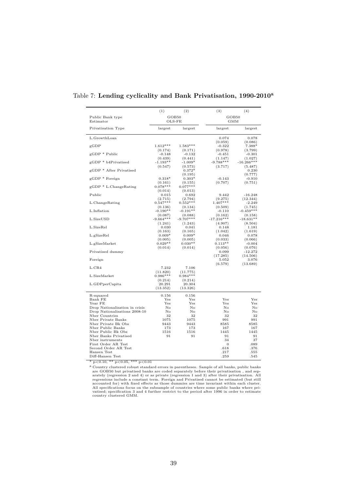<span id="page-40-0"></span>

|                                     | (1)                           | (2)                           | (3)                     | (4)                     |
|-------------------------------------|-------------------------------|-------------------------------|-------------------------|-------------------------|
| Public Bank type<br>Estimator       |                               | GOB50<br>OLS-FE               |                         | GOB50<br>GMM            |
| Privatisation Type                  | largest                       | largest                       | largest                 | largest                 |
| L.GrowthLoan                        |                               |                               | 0.074                   | $_{0.078}$              |
| gGDP                                | $1.612***$                    | $1.583***$                    | (0.059)<br>$-0.322$     | (0.086)<br>7.388*       |
| $gGDP * Public$                     | (0.174)<br>$-0.148$           | (0.171)<br>$-0.132$           | (0.978)<br>$-0.451$     | (3.799)<br>$-0.301$     |
| gGDP * b4Privatised                 | (0.439)<br>$-1.193**$         | (0.441)<br>$-1.009*$          | (1.147)<br>$-9.788***$  | (1.027)<br>$-16.266***$ |
| gGDP * After Privatised             | (0.547)                       | (0.573)<br>$0.372*$           | (3.717)                 | (5.487)<br>0.230        |
| $gGDP * Foreign$                    | $0.318*$                      | (0.195)<br>$0.303*$           | $-0.143$                | (0.777)<br>$-0.910$     |
| gGDP * L.ChangeRating               | (0.161)<br>$0.078***$         | (0.155)<br>$0.077***$         | (0.707)                 | (0.751)                 |
| Public                              | (0.014)<br>0.015              | (0.013)<br>0.692              | 9.442                   | $-16.248$               |
| L.ChangeRating                      | (2.715)<br>$0.547***$         | (2.794)<br>$0.552***$         | (9.275)<br>$1.407***$   | (12.344)<br>$-2.249$    |
| L.Inflation                         | (0.136)<br>$-0.190**$         | (0.134)<br>$-0.191**$         | (0.509)<br>$-0.110$     | (1.745)<br>$-0.459***$  |
| L.SizeUSD                           | (0.087)<br>$-9.664***$        | (0.088)<br>$-9.707***$        | (0.162)<br>$-17.216***$ | (0.158)<br>$-18.631**$  |
| L.SizeRel                           | (1.241)<br>0.030              | (1.243)<br>0.041              | (4.907)<br>0.148        | (8.504)<br>1.181        |
| L.gSizeRel                          | (0.163)<br>$0.009*$           | (0.165)<br>$0.009*$           | (1.042)<br>0.046        | (1.619)<br>0.078        |
| L.gSizeMarket                       | (0.005)<br>$0.029**$          | (0.005)<br>$0.030**$          | (0.033)<br>$0.113**$    | (0.066)<br>$-0.004$     |
| Privatised dummy                    | (0.014)                       | (0.014)                       | (0.056)<br>0.099        | (0.076)<br>$-12.272$    |
| Foreign                             |                               |                               | (17.285)<br>5.052       | (14.506)<br>3.076       |
| L.CR4                               | 7.232                         | 7.106                         | (6.579)                 | (13.689)                |
| L.SizeMarket                        | (11.820)<br>$0.986***$        | (11.775)<br>$0.984***$        |                         |                         |
| L.GDPperCapita                      | (0.214)<br>20.291<br>(13.352) | (0.214)<br>20.304<br>(13.326) |                         |                         |
|                                     |                               |                               |                         |                         |
| R-squared<br>Bank FE                | 0.156<br>Yes                  | 0.156<br>Yes                  | Yes                     | Yes                     |
| Year FE                             | Yes                           | Yes                           | Yes                     | Yes                     |
| Drop Nationalisation in crisis      | No                            | No                            | No                      | No                      |
| Drop Nationalisations 2008-10       | No                            | No                            | No                      | $\rm No$                |
| Nber Countries                      | 32                            | 32                            | 32                      | 32                      |
| Nber Private Banks                  | 1075                          | 1075                          | 991                     | 991                     |
| Nber Private Bk Obs                 | 9443                          | 9443                          | 8585                    | 8585                    |
| Nber Public Banks                   | 173                           | 173                           | 167                     | 167                     |
| Nber Public Bk Obs                  | 1516                          | 1516                          | 1445                    | 1445                    |
| Nber Banks Privatised               | 91                            | 91                            | 91                      | 91                      |
| Nber instruments                    |                               |                               | 34                      | 37                      |
| First Order AR Test                 |                               |                               | $\mathbf{0}$            | .089                    |
| Second Order AR Test<br>Hansen Test |                               |                               | .618<br>.217            | .376<br>.555            |
| Diff-Hansen Test                    |                               |                               | .259                    | .545                    |
|                                     |                               |                               |                         |                         |

# Table 7: **Lending cyclicality and Bank Privatisation, 1990-2010<sup>a</sup>**

\* p*<*0.10, \*\* p*<*0.05, \*\*\* p*<*0.01

 $^{\rm a}$  Country clustered robust standard errors in parentheses. Sample of all banks, public banks are GOB50 but privatised banks are coded separately before their privatisation , and separately (regression 2 and 4) or as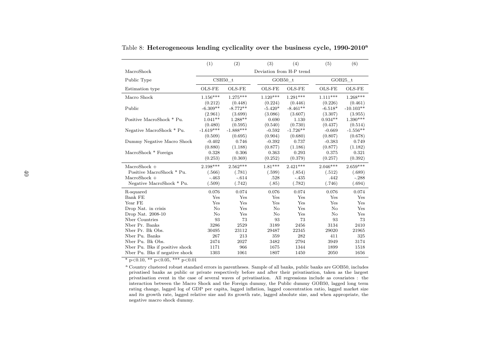|                                | (1)         | (2)               | (3)                      | (4)        | (5)        | (6)         |
|--------------------------------|-------------|-------------------|--------------------------|------------|------------|-------------|
| MacroShock                     |             |                   | Deviation from H-P trend |            |            |             |
| Public Type                    |             | $\text{CSH50 } t$ |                          | GOB50 t    |            | $GOB25$ t   |
| Estimation type                | OLS-FE      | OLS-FE            | OLS-FE                   | OLS-FE     | OLS-FE     | OLS-FE      |
| Macro Shock                    | $1.156***$  | $1.275***$        | $1.120***$               | $1.291***$ | $1.111***$ | $1.268***$  |
|                                | (0.212)     | (0.448)           | (0.224)                  | (0.446)    | (0.226)    | (0.461)     |
| Public                         | $-6.309**$  | $-8.772**$        | $-5.420*$                | $-8.461**$ | $-6.518*$  | $-10.103**$ |
|                                | (2.961)     | (3.699)           | (3.086)                  | (3.607)    | (3.307)    | (3.955)     |
| Positive MacroShock * Pu.      | $1.041**$   | 1.288**           | 0.690                    | 1.130      | $0.934**$  | $1.390***$  |
|                                | (0.480)     | (0.595)           | (0.540)                  | (0.730)    | (0.437)    | (0.514)     |
| Negative MacroShock * Pu.      | $-1.619***$ | $-1.888***$       | $-0.592$                 | $-1.726**$ | $-0.669$   | $-1.556**$  |
|                                | (0.509)     | (0.695)           | (0.904)                  | (0.680)    | (0.807)    | (0.678)     |
| Dummy Negative Macro Shock     | $-0.402$    | 0.746             | $-0.392$                 | 0.737      | $-0.383$   | 0.749       |
|                                | (0.880)     | (1.188)           | (0.877)                  | (1.186)    | (0.877)    | (1.182)     |
| MacroShock * Foreign           | 0.328       | 0.306             | 0.363                    | 0.293      | 0.375      | 0.321       |
|                                | (0.253)     | (0.369)           | (0.252)                  | (0.379)    | (0.257)    | (0.392)     |
| $MacroShow +$                  | $2.198***$  | $2.562***$        | $1.81***$                | $2.421***$ | $2.046***$ | $2.659***$  |
| Positive MacroShock * Pu.      | (.566)      | (.781)            | (.599)                   | (.854)     | (.512)     | (.689)      |
| $MacroShow +$                  | $-.463$     | $-.614$           | .528                     | $-.435$    | .442       | $-.288$     |
| Negative MacroShock * Pu.      | (.509)      | (.742)            | (.85)                    | (.782)     | (.746)     | (.694)      |
| R-squared                      | 0.076       | 0.074             | 0.076                    | 0.074      | 0.076      | 0.074       |
| Bank FE                        | Yes         | Yes               | Yes                      | Yes        | Yes        | Yes         |
| Year FE                        | Yes         | Yes               | Yes                      | Yes        | Yes        | Yes         |
| Drop Nat. in crisis            | No          | Yes               | $\rm No$                 | Yes        | No         | Yes         |
| Drop Nat. 2008-10              | No          | Yes               | $\rm No$                 | Yes        | No         | Yes         |
| Nber Countries                 | 93          | 73                | 93                       | 73         | 93         | 73          |
| Nber Pr. Banks                 | 3286        | 2529              | 3189                     | 2456       | 3134       | 2410        |
| Nber Pr. Bk Obs.               | 30495       | 23112             | 29487                    | 22345      | 29020      | 21965       |
| Nber Pu. Banks                 | 267         | 213               | 359                      | 282        | 411        | 325         |
| Nber Pu. Bk Obs.               | 2474        | 2027              | 3482                     | 2794       | 3949       | 3174        |
| Nber Pu. Bks if positive shock | 1171        | 966               | 1675                     | 1344       | 1899       | 1518        |
| Nber Pu. Bks if negative shock | 1303        | 1061              | 1807                     | 1450       | 2050       | 1656        |

<span id="page-41-0"></span>Table 8: **Heterogeneous lending cyclicality over the business cycle, 1990-2010<sup>a</sup>**

\* <sup>p</sup>*<*0.10, \*\* <sup>p</sup>*<*0.05, \*\*\* <sup>p</sup>*<*0.01

a Country clustered robust standard errors in parentheses. Sample of all banks, public banks are GOB50, includes privatised banks as public or private respectively before and after their privatisation, taken as the largest privatisation event in the case of several waves of privatisation. All regressions include as covariates : the interaction between the Macro Shock and the Foreign dummy, the Public dummy GOB50, lagged long term rating change, lagged log of GDP per capita, lagged inflation, lagged concentration ratio, lagged market size and its growth rate, lagged relative size and its growth rate, lagged absolute size, and when appropriate, thenegative macro shock dummy.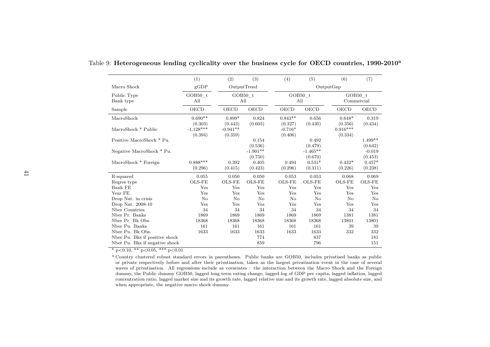|                                                                  | (1)                                 | (2)                               | (3)                   | (4)                               | (5)                   | (6)                               | (7)                   |
|------------------------------------------------------------------|-------------------------------------|-----------------------------------|-----------------------|-----------------------------------|-----------------------|-----------------------------------|-----------------------|
| Macro Shock                                                      | gGDP                                |                                   | OutputTrend           |                                   |                       | OutputGap                         |                       |
| Public Type<br>Bank type                                         | GOB50 t<br>All                      | $GOB50$ t<br>All                  |                       |                                   | $GOB50_t$<br>All      | $GOB50$ t<br>Commercial           |                       |
| Sample                                                           | OECD                                | OECD                              | OECD                  | OECD                              | <b>OECD</b>           | OECD                              | OECD                  |
| MacroShock<br>MacroShock * Public                                | $0.690**$<br>(0.303)<br>$-1.128***$ | $0.899*$<br>(0.443)<br>$-0.941**$ | 0.824<br>(0.603)      | $0.843**$<br>(0.327)<br>$-0.716*$ | 0.656<br>(0.430)      | $0.648*$<br>(0.356)<br>$0.916***$ | 0.319<br>(0.434)      |
|                                                                  | (0.394)                             | (0.359)                           |                       | (0.406)                           |                       | (0.334)                           |                       |
| Positive MacroShock * Pu.                                        |                                     |                                   | 0.154<br>(0.536)      |                                   | 0.492<br>(0.479)      |                                   | $1.499**$<br>(0.642)  |
| Negative MacroShock * Pu.                                        |                                     |                                   | $-1.901**$<br>(0.750) |                                   | $-1.465**$<br>(0.670) |                                   | $-0.019$<br>(0.453)   |
| MacroShock * Foreign                                             | $0.888***$<br>(0.296)               | 0.392<br>(0.415)                  | 0.405<br>(0.423)      | 0.494<br>(0.296)                  | $0.531*$<br>(0.311)   | $0.432*$<br>(0.226)               | $0.457*$<br>(0.238)   |
| R-squared                                                        | 0.055                               | 0.050                             | 0.050                 | 0.053                             | 0.053                 | 0.068                             | 0.069                 |
| Regres type                                                      | OLS-FE                              | OLS-FE                            | OLS-FE                | OLS-FE                            | OLS-FE                | OLS-FE                            | OLS-FE                |
| Bank FE                                                          | Yes                                 | Yes                               | Yes                   | Yes                               | Yes                   | Yes                               | Yes                   |
| Year FE                                                          | Yes<br>No                           | Yes<br>No                         | Yes<br>No             | Yes<br>N <sub>o</sub>             | Yes<br>No             | Yes<br>$\rm No$                   | Yes<br>N <sub>o</sub> |
| Drop Nat. in crisis<br>Drop Nat. 2008-10                         | Yes                                 | Yes                               | Yes                   | Yes                               | Yes                   | Yes                               | Yes                   |
| Nber Countries                                                   | 34                                  | 34                                | 34                    | 34                                | 34                    | 34                                | 34                    |
| Nber Pr. Banks                                                   | 1869                                | 1869                              | 1869                  | 1869                              | 1869                  | 1381                              | 1381                  |
| Nber Pr. Bk Obs.                                                 | 18368                               | 18368                             | 18368                 | 18368                             | 18368                 | 13801                             | 13801                 |
| Nber Pu. Banks                                                   | 161                                 | 161                               | 161                   | 161                               | 161                   | 39                                | 39                    |
| Nber Pu. Bk Obs.                                                 | 1633                                | 1633                              | 1633                  | 1633                              | 1633                  | 332                               | 332                   |
| Nber Pu. Bks if positive shock<br>Nber Pu. Bks if negative shock |                                     |                                   | 774<br>859            |                                   | 837<br>796            |                                   | 181<br>151            |

<span id="page-42-0"></span>Table 9: Heterogeneous lending cyclicality over the business cycle for OECD countries,  $1990$ - $2010^{\rm a}$ 

\* <sup>p</sup>*<*0.10, \*\* <sup>p</sup>*<*0.05, \*\*\* <sup>p</sup>*<*0.01

 a Country clustered robust standard errors in parentheses. Public banks are GOB50, includes privatised banks as public or private respectively before and after their privatisation, taken as the largest privatisation event in the case of several waves of privatisation. All regressions include as covariates : the interaction between the Macro Shock and the Foreign dummy, the Public dummy GOB50, lagged long term rating change, lagged log of GDP per capita, lagged inflation, lagged concentration ratio, lagged market size and its growth rate, lagged relative size and its growth rate, lagged absolute size, andwhen appropriate, the negative macro shock dummy.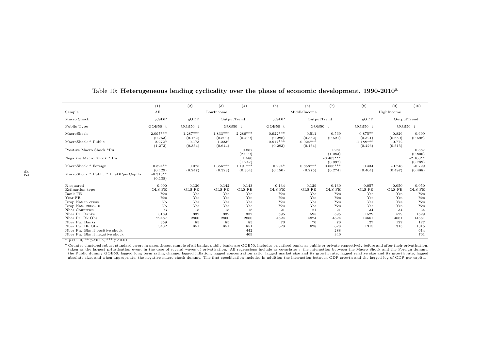|                                      | (1)                              | (2)                            | (3)                            | (4)              | (5)                               | (6)                               | (7)                    | (8)                               | (9)                            | (10)                  |
|--------------------------------------|----------------------------------|--------------------------------|--------------------------------|------------------|-----------------------------------|-----------------------------------|------------------------|-----------------------------------|--------------------------------|-----------------------|
| Sample                               | All                              | LowIncome                      |                                |                  | MiddleIncome                      |                                   |                        | HighIncome                        |                                |                       |
| Macro Shock                          | gGDP                             | gGDP                           |                                | OutputTrend      |                                   |                                   | OutputTrend            |                                   |                                | OutputTrend           |
| Public Type                          | GOB50_t                          | GOB50 t                        | $GOB50_t$                      |                  | GOB50_t                           | GOB50 t                           |                        | GOB50 t                           |                                | $GOB50_t$             |
| MacroShock                           | $2.097***$                       | $1.287***$                     | $1.833***$                     | $2.286***$       | $0.922***$                        | 0.511                             | 0.569                  | $0.875**$                         | 0.826                          | 0.699                 |
| MacroShock * Public                  | (0.753)<br>$2.272*$<br>(1.273)   | (0.162)<br>$-0.173$<br>(0.354) | (0.503)<br>$1.223*$<br>(0.644) | (0.499)          | (0.288)<br>$-0.917***$<br>(0.283) | (0.382)<br>$-0.924***$<br>(0.154) | (0.521)                | (0.321)<br>$-1.188***$<br>(0.426) | (0.650)<br>$-0.772$<br>(0.515) | (0.698)               |
| Positive Macro Shock *Pu.            |                                  |                                |                                | 0.887<br>(2.099) |                                   |                                   | 1.281<br>(1.083)       |                                   |                                | 0.887<br>(0.800)      |
| Negative Macro Shock * Pu.           |                                  |                                |                                | 1.580<br>(1.247) |                                   |                                   | $-3.403***$<br>(0.997) |                                   |                                | $-2.100**$<br>(0.789) |
| MacroShock * Foreign                 | $0.324**$                        | 0.075                          | $1.356***$                     | $1.191***$       | $0.294*$                          | $0.858***$                        | $0.866***$             | 0.434                             | $-0.748$                       | $-0.729$              |
| MacroShock * Public * L.GDPperCapita | (0.129)<br>$-0.316**$<br>(0.138) | (0.247)                        | (0.328)                        | (0.364)          | (0.150)                           | (0.275)                           | (0.274)                | (0.404)                           | (0.497)                        | (0.488)               |
| R-squared                            | 0.090                            | 0.130                          | 0.142                          | 0.143            | 0.134                             | 0.129                             | 0.130                  | 0.057                             | 0.050                          | 0.050                 |
| Estimation type                      | OLS-FE                           | OLS-FE                         | OLS-FE                         | OLS-FE           | OLS-FE                            | OLS-FE                            | OLS-FE                 | OLS-FE                            | OLS-FE                         | OLS-FE                |
| Bank FE<br>Year FE                   | Yes<br>Yes                       | Yes<br>Yes                     | Yes<br>Yes                     | Yes<br>Yes       | Yes<br>Yes                        | Yes<br>Yes                        | Yes<br>Yes             | Yes<br>Yes                        | Yes<br>Yes                     | Yes<br>Yes            |
| Drop Nat in crisis                   | No                               | Yes                            | Yes                            | Yes              | Yes                               | Yes                               | Yes                    | Yes                               | Yes                            | Yes                   |
| Drop Nat. 2008-10                    | No                               | Yes                            | Yes                            | Yes              | Yes                               | Yes                               | Yes                    | Yes                               | Yes                            | Yes                   |
| Nber Countries                       | 93                               | 18                             | 18                             | 18               | 21                                | 21                                | 21                     | 34                                | 34                             | 34                    |
| Nber Pr. Banks                       | 3189                             | 332                            | 332                            | 332              | 595                               | 595                               | 595                    | 1529                              | 1529                           | 1529                  |
| Nber Pr. Bk Obs.                     | 29487                            | 2860                           | 2860                           | 2860             | 4824                              | 4824                              | 4824                   | 14661                             | 14661                          | 14661                 |
| Nber Pu. Banks                       | 359                              | 85                             | 85                             | 85               | 70                                | 70                                | 70                     | 127                               | 127                            | 127                   |
| Nber Pu. Bk Obs.                     | 3482                             | 851                            | 851                            | 851              | 628                               | 628                               | 628                    | 1315                              | 1315                           | 1315                  |
| Nber Pu. Bks if positive shock       |                                  |                                |                                | 442              |                                   |                                   | 288                    |                                   |                                | 614                   |
| Nber Pu. Bks if negative shock       |                                  |                                |                                | 409              |                                   |                                   | 340                    |                                   |                                | 701                   |

#### <span id="page-43-0"></span>Table 10: Heterogeneous lending cyclicality over the phase of economic development,  $1990\text{-}2010^\text{a}$

<sup>p</sup>*<*0.10, \*\* <sup>p</sup>*<*0.05, \*\*\* <sup>p</sup>*<*0.01

 $^{\rm a}$  Country clustered robust standard errors in parentheses, sample of all banks, public banks are GOB50, includes privatised banks as public or private respectively before and after their privatisation, taken as the largest privatisation event in the case of several waves of privatisation. All regressions include as covariates : the interaction between the Macro Shock and the Foreign dummy,the Public dummy GOB50, lagged long term rating change, lagged inflation, lagged concentration ratio, lagged market size and its growth rate, lagged relative size and its growth rate, lagged relative size and its growth ra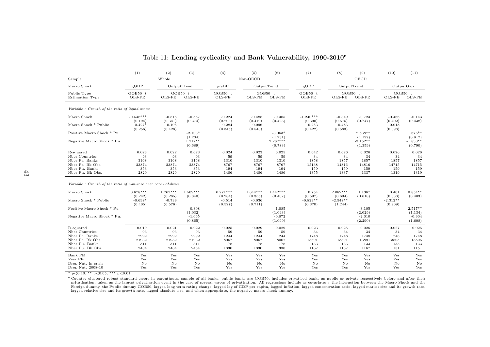|                                                                 | (1)                    | (2)                   | (3)                   | (4)                   | (5)                   | (6)                   | (7)                    | (8)                   | (9)                   | (10)                  | (11)                  |
|-----------------------------------------------------------------|------------------------|-----------------------|-----------------------|-----------------------|-----------------------|-----------------------|------------------------|-----------------------|-----------------------|-----------------------|-----------------------|
| Sample                                                          |                        | Whole                 |                       |                       | Non-OECD              |                       |                        |                       | OECD                  |                       |                       |
| Macro Shock                                                     | gGDP                   |                       | OutputTrend           | gGDP                  | OutputTrend           |                       | gGDP                   | OutputTrend           |                       | OutputGap             |                       |
| Public Type<br><b>Estimation Type</b>                           | $GOB50$ t<br>OLS-FE    | OLS-FE                | $GOB50$ t<br>OLS-FE   | $GOB50$ t<br>OLS-FE   | GOB50 t<br>OLS-FE     | OLS-FE                | $GOB50$ t<br>OLS-FE    | $GOB50$ t<br>OLS-FE   | OLS-FE                | GOB50 t<br>OLS-FE     | OLS-FE                |
| Variable: Growth of the ratio of liquid assets                  |                        |                       |                       |                       |                       |                       |                        |                       |                       |                       |                       |
| Macro Shock                                                     | $-0.548***$<br>(0.194) | $-0.516$<br>(0.341)   | $-0.567$<br>(0.374)   | $-0.224$<br>(0.203)   | $-0.488$<br>(0.419)   | $-0.385$<br>(0.423)   | $-1.240***$<br>(0.390) | $-0.349$<br>(0.675)   | $-0.723$<br>(0.747)   | $-0.466$<br>(0.402)   | $-0.143$<br>(0.438)   |
| Macro Shock * Public                                            | $0.427*$<br>(0.256)    | 0.105<br>(0.428)      |                       | 0.284<br>(0.345)      | 0.096<br>(0.543)      |                       | 0.253<br>(0.422)       | $-0.483$<br>(0.583)   |                       | $-0.018$<br>(0.398)   |                       |
| Positive Macro Shock * Pu.                                      |                        |                       | $-2.103*$<br>(1.234)  |                       |                       | $-3.063*$<br>(1.731)  |                        |                       | $2.538**$<br>(1.197)  |                       | $1.676**$<br>(0.817)  |
| Negative Macro Shock * Pu.                                      |                        |                       | $1.717**$<br>(0.689)  |                       |                       | $2.267***$<br>(0.783) |                        |                       | $-3.152**$<br>(1.359) |                       | $-1.830**$<br>(0.790) |
| R-squared<br>Nber Countries                                     | 0.023<br>93            | 0.022<br>93           | 0.023<br>93           | 0.024<br>59           | 0.023<br>59           | 0.025<br>59           | 0.042<br>34            | 0.026<br>34           | 0.026<br>34           | 0.026<br>34           | 0.026<br>34           |
| Nber Pr. Banks                                                  | 3168                   | 3168                  | 3168                  | 1310                  | 1310                  | 1310                  | 1858                   | 1857                  | 1857                  | 1857                  | 1857                  |
| Nber Pr. Bk Obs.                                                | 23874                  | 23874                 | 23874                 | 8767                  | 8767                  | 8767                  | 15138                  | 14816                 | 14816                 | 14715                 | 14715                 |
| Nber Pu. Banks                                                  | 353                    | 353                   | 353                   | 194                   | 194                   | 194                   | 159                    | 159                   | 159                   | 159                   | 159                   |
| Nber Pu. Bk Obs.                                                | 2829                   | 2829                  | 2829                  | 1486                  | 1486                  | 1486                  | 1355                   | 1337                  | 1337                  | 1319                  | 1319                  |
| Variable: Growth of the ratio of non-core over core liabilities |                        |                       |                       |                       |                       |                       |                        |                       |                       |                       |                       |
| Macro Shock                                                     | $0.878***$<br>(0.242)  | $1.767***$<br>(0.285) | $1.509***$<br>(0.340) | $0.771***$<br>(0.284) | $1.644***$<br>(0.355) | $1.442***$<br>(0.407) | 0.754<br>(0.597)       | $2.082***$<br>(0.694) | $1.136*$<br>(0.618)   | 0.401<br>(0.338)      | $0.854**$<br>(0.403)  |
| Macro Shock * Public                                            | $-0.698*$<br>(0.405)   | $-0.739$<br>(0.576)   |                       | $-0.514$<br>(0.527)   | $-0.036$<br>(0.711)   |                       | $-0.823**$<br>(0.370)  | $-2.548**$<br>(1.244) |                       | $-2.312**$<br>(0.909) |                       |
| Positive Macro Shock * Pu.                                      |                        |                       | $-0.308$<br>(1.032)   |                       |                       | 1.085<br>(1.043)      |                        |                       | $-3.105$<br>(2.029)   |                       | $-2.517**$<br>(1.134) |
| Negative Macro Shock * Pu.                                      |                        |                       | $-1.065$<br>(0.865)   |                       |                       | $-0.872$<br>(1.099)   |                        |                       | $-2.010$<br>(2.290)   |                       | $-0.904$<br>(1.608)   |
| R-squared                                                       | 0.019                  | 0.021                 | 0.022                 | 0.025                 | 0.029                 | 0.029                 | 0.023                  | 0.025                 | 0.026                 | 0.027                 | 0.025                 |
| Nber Countries                                                  | 93                     | 93                    | 93                    | 59                    | 59                    | 59                    | 34                     | 34                    | 34                    | 34                    | 34                    |
| Nber Pr. Banks                                                  | 2992<br>21932          | 2992<br>21932         | 2992<br>21932         | 1244<br>8067          | 1244<br>8067          | 1244<br>8067          | 1748<br>13891          | 1748<br>13891         | 1748<br>13891         | 1748                  | 1748<br>13805         |
| Nber Pr. Bk Obs.<br>Nber Pu. Banks                              | 311                    | 311                   | 311                   | 178                   | 178                   | 178                   | 133                    | 133                   | 133                   | 13805<br>133          | 133                   |
| Nber Pu. Bk Obs.                                                | 2484                   | 2484                  | 2484                  | 1330                  | 1330                  | 1330                  | 1167                   | 1167                  | 1167                  | 1151                  | 1151                  |
| Bank FE                                                         | Yes                    | Yes                   | Yes                   | Yes                   | Yes                   | Yes                   | Yes                    | Yes                   | Yes                   | Yes                   | Yes                   |
| Year FE                                                         | Yes                    | Yes                   | Yes                   | Yes                   | Yes                   | Yes                   | Yes                    | Yes                   | Yes                   | Yes                   | Yes                   |
| Drop Nat. in crisis<br>Drop Nat. 2008-10                        | No<br>Yes              | No<br>Yes             | $_{\rm No}$<br>Yes    | No<br>Yes             | No<br>Yes             | No<br>Yes             | No<br>Yes              | No<br>Yes             | No<br>Yes             | No<br>Yes             | No<br>Yes             |
| $-20,10$ ** $-20,05$                                            |                        |                       |                       |                       |                       |                       |                        |                       |                       |                       |                       |

<span id="page-44-0"></span>Table 11: **Lending cyclicality and Bank Vulnerability, 1990-2010<sup>a</sup>**

<sup>p</sup>*<*0.10, \*\* <sup>p</sup>*<*0.05, \*\*\* <sup>p</sup>*<*0.01

 $^{\text{a}}$  Country clustered robust standard errors in parentheses, sample of all banks, public banks are GOB50, includes privatised banks as public or private respectively before and after their privatisation, taken as the largest privatisation event in the case of several waves of privatisation. All regressions include as covariates : the interaction between the Macro Shock and the<br>Foreign dummy, the Public dummy lagged relative size and its growth rate, lagged absolute size, and when appropriate, the negative macro shock dummy.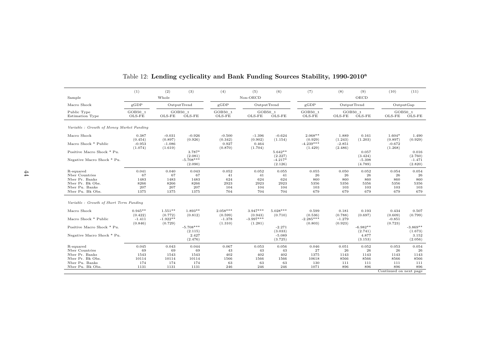|                                                          | (1)                  | (2)                   | (3)                             | (4)                   | (5)                    | (6)                             | (7)                    | (8)                 | (9)                            | (10)                   | (11)                           |  |
|----------------------------------------------------------|----------------------|-----------------------|---------------------------------|-----------------------|------------------------|---------------------------------|------------------------|---------------------|--------------------------------|------------------------|--------------------------------|--|
| Sample                                                   |                      | Whole                 |                                 |                       | Non-OECD               |                                 |                        | OECD                |                                |                        |                                |  |
| Macro Shock                                              | gGDP                 |                       | OutputTrend                     | gGDP                  | OutputTrend            |                                 | gGDP                   | OutputTrend         |                                |                        | OutputGap                      |  |
| Public Type<br><b>Estimation Type</b>                    | GOB50 t<br>OLS-FE    | OLS-FE                | GOB50 t<br>OLS-FE               | GOB50 t<br>OLS-FE     | GOB50 t<br>OLS-FE      | OLS-FE                          | GOB50 t<br>OLS-FE      | OLS-FE              | GOB50 t<br>OLS-FE              | OLS-FE                 | GOB50 t<br>OLS-FE              |  |
| Variable: Growth of Money Market Funding                 |                      |                       |                                 |                       |                        |                                 |                        |                     |                                |                        |                                |  |
| Macro Shock                                              | 0.387<br>(0.454)     | $-0.031$<br>(0.897)   | $-0.926$<br>(0.926)             | $-0.500$<br>(0.342)   | $-1.396$<br>(0.902)    | $-0.624$<br>(1.154)             | $2.068**$<br>(0.929)   | 1.889<br>(1.243)    | 0.161<br>(1.203)               | $1.604*$<br>(0.897)    | 1.490<br>(0.929)               |  |
| Macro Shock * Public                                     | $-0.953$<br>(1.074)  | $-1.086$<br>(1.619)   |                                 | 0.927<br>(0.870)      | 0.464<br>(1.704)       |                                 | $-4.239***$<br>(1.429) | $-2.851$<br>(2.486) |                                | $-0.672$<br>(1.268)    |                                |  |
| Positive Macro Shock * Pu.                               |                      |                       | 3.787*<br>(2.081)               |                       |                        | $5.642**$<br>(2.227)            |                        |                     | 0.057<br>(3.424)               |                        | 0.016<br>(2.760)               |  |
| Negative Macro Shock * Pu.                               |                      |                       | $-5.708***$<br>(2.090)          |                       |                        | $-4.217*$<br>(2.126)            |                        |                     | $-5.398$<br>(4.789)            |                        | $-1.471$<br>(2.820)            |  |
| R-squared                                                | 0.041                | 0.040                 | 0.043                           | 0.052                 | 0.052                  | 0.055                           | 0.055                  | 0.050               | 0.052                          | 0.054                  | 0.054                          |  |
| Nber Countries<br>Nber Pr. Banks                         | 67<br>1483           | 67<br>1483            | 67<br>1483                      | 41<br>624             | 41<br>624              | 41<br>624                       | 26<br>860              | 26<br>860           | 26<br>860                      | 26<br>860              | 26<br>860                      |  |
| Nber Pr. Bk Obs.                                         | 8266                 | 8266                  | 8266                            | 2923                  | 2923                   | 2923                            | 5356                   | 5356                | 5356                           | 5356                   | 5356                           |  |
| Nber Pu. Banks                                           | 207                  | 207                   | 207                             | 104                   | 104                    | 104                             | 103                    | 103                 | 103                            | 103                    | 103                            |  |
| Nber Pu. Bk Obs.                                         | 1375                 | 1375                  | 1375                            | 704                   | 704                    | 704                             | 679                    | 679                 | 679                            | 679                    | 679                            |  |
| Variable : Growth of Short Term Funding                  |                      |                       |                                 |                       |                        |                                 |                        |                     |                                |                        |                                |  |
| Macro Shock                                              | $0.945**$<br>(0.422) | $1.551**$<br>(0.772)  | $1.893**$<br>(0.812)            | $2.058***$<br>(0.599) | $3.947***$<br>(0.943)  | $5.028***$<br>(0.710)           | 0.599<br>(0.536)       | 0.181<br>(0.788)    | 0.193<br>(0.697)               | 0.434<br>(0.609)       | 0.507<br>(0.799)               |  |
| Macro Shock * Public                                     | $-1.411$<br>(0.846)  | $-1.922**$<br>(0.729) |                                 | $-1.378$<br>(1.310)   | $-3.997***$<br>(1.281) |                                 | $-2.285***$<br>(0.803) | $-1.279$<br>(0.923) |                                | $-0.851$<br>(0.723)    |                                |  |
| Positive Macro Shock * Pu.<br>Negative Macro Shock * Pu. |                      |                       | $-5.708***$<br>(2.115)<br>2.427 |                       |                        | $-2.271$<br>(3.033)<br>$-5.089$ |                        |                     | $-6.982**$<br>(2.741)<br>4.877 |                        | $-3.869**$<br>(1.673)<br>3.152 |  |
|                                                          |                      |                       | (2.476)                         |                       |                        | (3.725)                         |                        |                     | (3.153)                        |                        | (2.056)                        |  |
| R-squared                                                | 0.045                | 0.043                 | 0.044                           | 0.067                 | 0.053                  | 0.056                           | 0.046                  | 0.051               | 0.052                          | 0.053                  | 0.054                          |  |
| Nber Countries                                           | 69                   | 69                    | 69                              | 43                    | 43                     | 43                              | 27                     | 26                  | 26                             | 26                     | 26                             |  |
| Nber Pr. Banks                                           | 1543                 | 1543                  | 1543                            | 402                   | 402                    | 402                             | 1375                   | 1143                | 1143                           | 1143                   | 1143                           |  |
| Nber Pr. Bk Obs.                                         | 10114                | 10114                 | 10114                           | 1566                  | 1566                   | 1566                            | 10618                  | 8566                | 8566                           | 8566                   | 8566                           |  |
| Nber Pu. Banks                                           | 174                  | 174                   | 174                             | 63                    | 63                     | 63                              | 130                    | 111                 | 111                            | 111                    | 111                            |  |
| Nber Pu. Bk Obs.                                         | 1131                 | 1131                  | 1131                            | 246                   | 246                    | 246                             | 1071                   | 896                 | 896                            | 896                    | 896                            |  |
|                                                          |                      |                       |                                 |                       |                        |                                 |                        |                     |                                | Continued on next page |                                |  |

<span id="page-45-0"></span>Table 12: **Lending cyclicality and Bank Funding Sources Stability, 1990-2010<sup>a</sup>**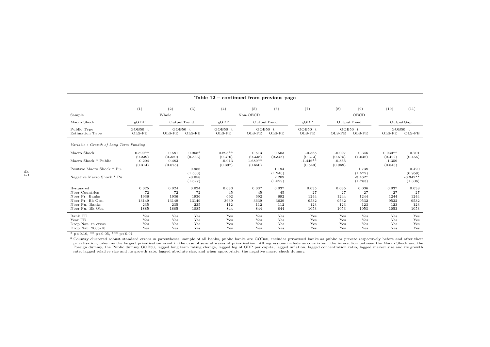| Table $12$ – continued from previous page |                      |                   |                     |                      |                      |                  |                       |                     |                      |                      |                       |  |
|-------------------------------------------|----------------------|-------------------|---------------------|----------------------|----------------------|------------------|-----------------------|---------------------|----------------------|----------------------|-----------------------|--|
|                                           | (1)                  | (2)               | (3)                 | (4)                  | (5)                  | (6)              | (7)                   | (8)                 | (9)                  | (10)                 | (11)                  |  |
| Sample                                    |                      | Whole             |                     |                      | Non-OECD             |                  |                       | OECD                |                      |                      |                       |  |
| Macro Shock                               | gGDP                 | OutputTrend       |                     | gGDP                 | OutputTrend          |                  | gGDP                  | OutputTrend         |                      | OutputGap            |                       |  |
| Public Type<br>Estimation Type            | GOB50 t<br>OLS-FE    | GOB50 t<br>OLS-FE | OLS-FE              | GOB50 t<br>OLS-FE    | GOB50 t<br>OLS-FE    | OLS-FE           | GOB50 t<br>OLS-FE     | GOB50 t<br>OLS-FE   | OLS-FE               | GOB50 t<br>OLS-FE    | OLS-FE                |  |
| Variable: Growth of Long Term Funding     |                      |                   |                     |                      |                      |                  |                       |                     |                      |                      |                       |  |
| Macro Shock                               | $0.599**$<br>(0.239) | 0.581<br>(0.350)  | $0.968*$<br>(0.533) | $0.898**$<br>(0.376) | 0.513<br>(0.338)     | 0.503<br>(0.345) | $-0.385$<br>(0.373)   | $-0.097$<br>(0.675) | 0.346<br>(1.046)     | $0.930**$<br>(0.422) | 0.701<br>(0.465)      |  |
| Macro Shock * Public                      | $-0.204$<br>(0.314)  | 0.483<br>(0.675)  |                     | $-0.013$<br>(0.397)  | $1.689**$<br>(0.650) |                  | $-1.446**$<br>(0.543) | $-0.855$<br>(0.969) |                      | $-1.359$<br>(0.843)  |                       |  |
| Positive Macro Shock * Pu.                |                      |                   | 0.986<br>(1.503)    |                      |                      | 1.194<br>(1.946) |                       |                     | 1.738<br>(1.579)     |                      | 0.420<br>(0.959)      |  |
| Negative Macro Shock * Pu.                |                      |                   | $-0.058$<br>(1.327) |                      |                      | 2.209<br>(1.599) |                       |                     | $-3.462*$<br>(1.783) |                      | $-3.342**$<br>(1.306) |  |
| R-squared                                 | 0.025                | 0.024             | 0.024               | 0.033                | 0.037                | 0.037            | 0.035                 | 0.035               | 0.036                | 0.037                | 0.038                 |  |
| Nber Countries                            | 72                   | 72                | 72                  | 45                   | 45                   | 45               | 27                    | 27                  | 27                   | 27                   | 27                    |  |
| Nber Pr. Banks                            | 1936                 | 1936              | 1936                | 692                  | 692                  | 692              | 1244                  | 1244                | 1244                 | 1244                 | 1244                  |  |
| Nber Pr. Bk Obs.<br>Nber Pu. Banks        | 13149<br>235         | 13149<br>235      | 13149<br>235        | 3639<br>112          | 3639<br>112          | 3639<br>112      | 9532<br>123           | 9532<br>123         | 9532<br>123          | 9532<br>123          | 9532<br>123           |  |
| Nber Pu. Bk Obs.                          | 1885                 | 1885              | 1885                | 844                  | 844                  | 844              | 1053                  | 1053                | 1053                 | 1053                 | 1053                  |  |
| Bank FE                                   | Yes                  | Yes               | Yes                 | Yes                  | Yes                  | Yes              | Yes                   | Yes                 | Yes                  | Yes                  | Yes                   |  |
| Year FE                                   | Yes                  | Yes               | Yes                 | Yes                  | Yes                  | Yes              | Yes                   | Yes                 | Yes                  | Yes                  | Yes                   |  |
| Drop Nat. in crisis<br>Drop Nat. 2008-10  | Yes<br>Yes           | Yes<br>Yes        | Yes<br>Yes          | Yes<br>Yes           | Yes<br>Yes           | Yes<br>Yes       | Yes<br>Yes            | Yes<br>Yes          | Yes<br>Yes           | Yes<br>Yes           | Yes<br>Yes            |  |

\* <sup>p</sup>*<*0.10, \*\* <sup>p</sup>*<*0.05, \*\*\* <sup>p</sup>*<*0.01

 $^a$  Country clustered robust standard errors in parentheses, sample of all banks, public banks are GOB50, includes privatised banks as public or private respectively before and after their privatisation, taken as the lar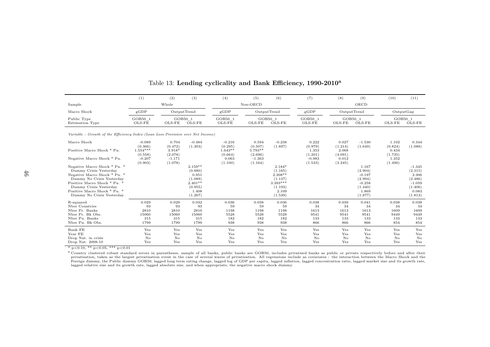|                                                                                                                                                                                                                                            | (1)                                | (2)                                | (3)                                                                                  | (4)                              | (5)                              | (6)                                                                                      | (7)                              | (8)                              | (9)                                                                                | (10)                             | (11)                                                                               |
|--------------------------------------------------------------------------------------------------------------------------------------------------------------------------------------------------------------------------------------------|------------------------------------|------------------------------------|--------------------------------------------------------------------------------------|----------------------------------|----------------------------------|------------------------------------------------------------------------------------------|----------------------------------|----------------------------------|------------------------------------------------------------------------------------|----------------------------------|------------------------------------------------------------------------------------|
| Sample                                                                                                                                                                                                                                     |                                    | Whole                              |                                                                                      |                                  | Non-OECD                         |                                                                                          |                                  | OECD                             |                                                                                    |                                  |                                                                                    |
| Macro Shock                                                                                                                                                                                                                                | gGDP                               |                                    | OutputTrend                                                                          |                                  | OutputTrend                      |                                                                                          | gGDP                             | OutputTrend                      |                                                                                    | OutputGap                        |                                                                                    |
| Public Type<br><b>Estimation Type</b>                                                                                                                                                                                                      | GOB50 t<br>OLS-FE                  | OLS-FE                             | GOB50 t<br>OLS-FE                                                                    |                                  | GOB50 t<br>OLS-FE<br>OLS-FE      |                                                                                          | GOB50 t<br>OLS-FE                | GOB50_t<br>OLS-FE<br>OLS-FE      |                                                                                    | GOB50 t<br>OLS-FE                | OLS-FE                                                                             |
| Variable: Growth of the Efficiency Index (Loan Loss Provision over Net Income)                                                                                                                                                             |                                    |                                    |                                                                                      |                                  |                                  |                                                                                          |                                  |                                  |                                                                                    |                                  |                                                                                    |
| Macro Shock                                                                                                                                                                                                                                | $-0.089$<br>(0.366)                | 0.704<br>(0.472)                   | $-0.484$<br>(1.303)                                                                  | $-0.216$<br>(0.295)              | 0.594<br>(0.507)                 | $-0.238$<br>(1.897)                                                                      | 0.222<br>(0.979)                 | 0.027<br>(1.214)                 | $-1.530$<br>(1.649)                                                                | 1.102<br>(0.824)                 | 0.344<br>(1.088)                                                                   |
| Positive Macro Shock * Pu.                                                                                                                                                                                                                 | $1.554***$<br>(0.558)              | $3.918*$<br>(2.078)                |                                                                                      | $1.643**$<br>(0.664)             | $5.793**$<br>(2.696)             |                                                                                          | 1.353<br>(1.201)                 | 2.068<br>(4.091)                 |                                                                                    | 0.434<br>(1.735)                 |                                                                                    |
| Negative Macro Shock * Pu.                                                                                                                                                                                                                 | $-0.207$<br>(0.903)                | $-1.171$<br>(1.078)                |                                                                                      | 0.063<br>(1.100)                 | $-1.363$<br>(1.164)              |                                                                                          | $-0.983$<br>(1.533)              | 0.012<br>(3.245)                 |                                                                                    | 1.352<br>(1.490)                 |                                                                                    |
| Negative Macro Shock * Pu. *<br>Dummy Crisis Yesterday<br>Negative Macro Shock * Pu. *<br>Dummy No Crisis Yesterday<br>Positive Macro Shock * Pu. *<br>Dummy Crisis Yesterday<br>Positive Macro Shock * Pu. *<br>Dummy No Crisis Yesterday |                                    |                                    | $2.159**$<br>(0.880)<br>0.951<br>(1.089)<br>$2.401**$<br>(0.955)<br>1.408<br>(1.267) |                                  |                                  | $2.184*$<br>(1.165)<br>$2.308**$<br>(1.137)<br>$3.393***$<br>(1.193)<br>2.109<br>(1.539) |                                  |                                  | 1.167<br>(2.904)<br>$-0.197$<br>(2.994)<br>$-0.258$<br>(1.440)<br>1.869<br>(1.877) |                                  | $-1.345$<br>(2.315)<br>2.306<br>(2.486)<br>$-1.059$<br>(1.406)<br>0.083<br>(1.813) |
| R-squared                                                                                                                                                                                                                                  | 0.029                              | 0.029                              | 0.032                                                                                | 0.036                            | 0.038                            | 0.036                                                                                    | 0.038                            | 0.039                            | 0.041                                                                              | 0.038                            | 0.038                                                                              |
| Nber Countries<br>Nber Pr. Banks<br>Nber Pr. Bk Obs.<br>Nber Pu. Banks<br>Nber Pu. Bk Obs.                                                                                                                                                 | 93<br>2810<br>15060<br>315<br>1799 | 93<br>2810<br>15060<br>315<br>1799 | 93<br>2810<br>15060<br>315<br>1799                                                   | 59<br>1198<br>5528<br>182<br>938 | 59<br>1198<br>5528<br>182<br>938 | 59<br>1198<br>5528<br>182<br>938                                                         | 34<br>1613<br>9541<br>133<br>866 | 34<br>1613<br>9541<br>133<br>866 | 34<br>1613<br>9541<br>133<br>866                                                   | 34<br>1609<br>9449<br>133<br>854 | 34<br>1609<br>9449<br>133<br>854                                                   |
| Bank FE                                                                                                                                                                                                                                    | Yes                                | Yes                                | Yes                                                                                  | Yes                              | Yes                              | Yes                                                                                      | Yes                              | Yes                              | Yes                                                                                | Yes                              | Yes                                                                                |
| Year FE<br>Drop Nat. in crisis<br>Drop Nat. 2008-10                                                                                                                                                                                        | Yes<br>No<br>Yes                   | Yes<br>No<br>Yes                   | Yes<br>No<br>Yes                                                                     | Yes<br>No<br>Yes                 | Yes<br>No<br>Yes                 | Yes<br>No<br>Yes                                                                         | Yes<br>No<br>Yes                 | Yes<br>No<br>Yes                 | Yes<br>No<br>Yes                                                                   | Yes<br>No<br>Yes                 | Yes<br>$\rm No$<br>Yes                                                             |
| $* - 2010 * * - 2005 * * * - 2001$                                                                                                                                                                                                         |                                    |                                    |                                                                                      |                                  |                                  |                                                                                          |                                  |                                  |                                                                                    |                                  |                                                                                    |

#### <span id="page-47-0"></span>Table 13: **Lending cyclicality and Bank Efficiency, 1990-2010<sup>a</sup>**

<sup>p</sup>*<*0.10, \*\* <sup>p</sup>*<*0.05, \*\*\* <sup>p</sup>*<*0.01

<sup>a</sup> Country clustered robust standard errors in parentheses, sample of all banks, public banks are GOB50, includes privatised banks as public or private respectively before and after their<br>privatisation, taken as the large Foreign dummy, the Public dummy GOB50, lagged long term rating change, lagged log of GDP per capita, lagged inflation, lagged concentration ratio, lagged market size and its growth rate,<br>lagged relative size and its growth